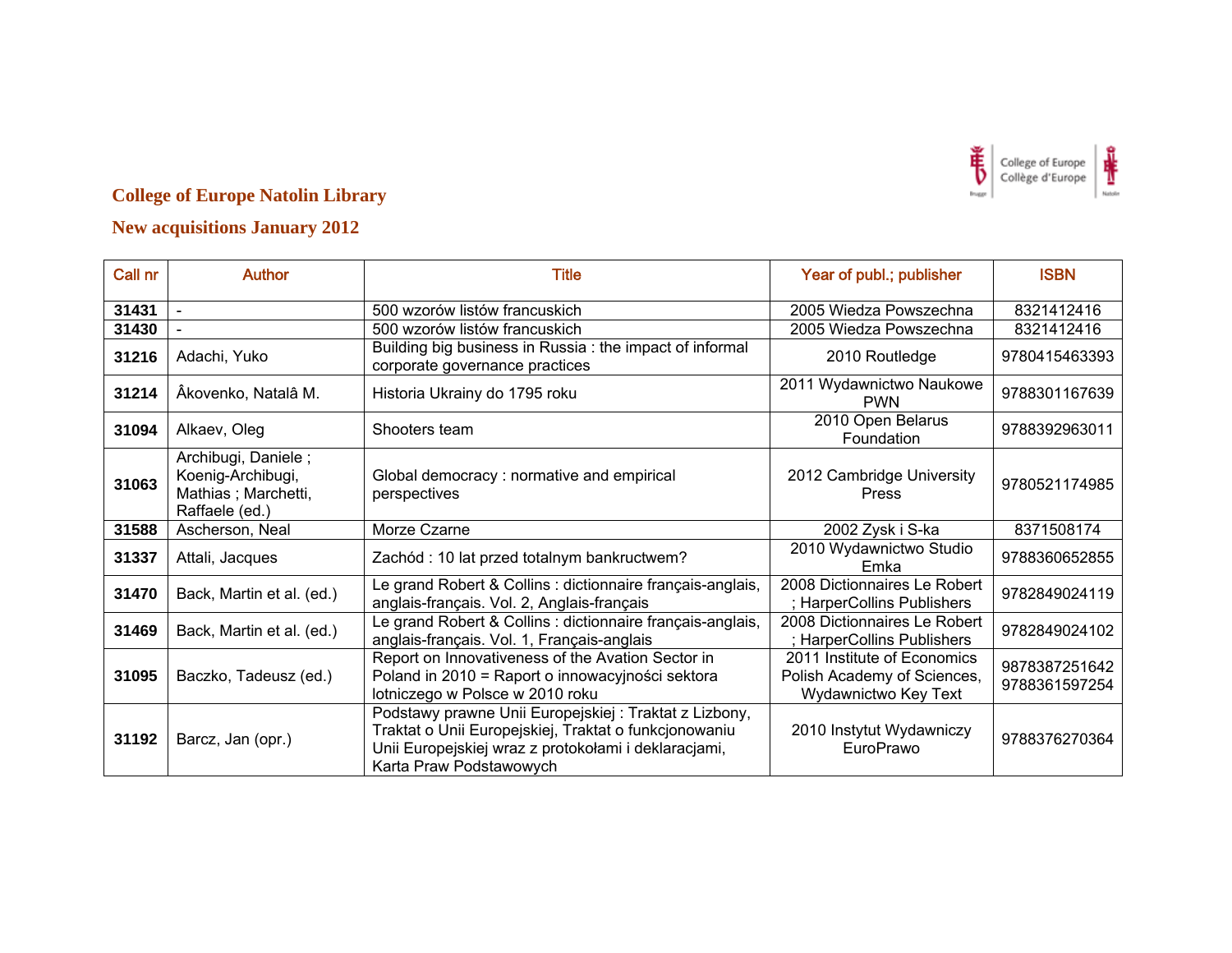

| Call nr | <b>Author</b>                                                                     | <b>Title</b>                                                                                                                                                                                      | Year of publ.; publisher                                                           | <b>ISBN</b>                    |
|---------|-----------------------------------------------------------------------------------|---------------------------------------------------------------------------------------------------------------------------------------------------------------------------------------------------|------------------------------------------------------------------------------------|--------------------------------|
| 31431   |                                                                                   | 500 wzorów listów francuskich                                                                                                                                                                     | 2005 Wiedza Powszechna                                                             | 8321412416                     |
| 31430   |                                                                                   | 500 wzorów listów francuskich                                                                                                                                                                     | 2005 Wiedza Powszechna                                                             | 8321412416                     |
| 31216   | Adachi, Yuko                                                                      | Building big business in Russia : the impact of informal<br>corporate governance practices                                                                                                        | 2010 Routledge                                                                     | 9780415463393                  |
| 31214   | Âkovenko, Natalâ M.                                                               | Historia Ukrainy do 1795 roku                                                                                                                                                                     | 2011 Wydawnictwo Naukowe<br><b>PWN</b>                                             | 9788301167639                  |
| 31094   | Alkaev, Oleg                                                                      | Shooters team                                                                                                                                                                                     | 2010 Open Belarus<br>Foundation                                                    | 9788392963011                  |
| 31063   | Archibugi, Daniele;<br>Koenig-Archibugi,<br>Mathias; Marchetti,<br>Raffaele (ed.) | Global democracy: normative and empirical<br>perspectives                                                                                                                                         | 2012 Cambridge University<br>Press                                                 | 9780521174985                  |
| 31588   | Ascherson, Neal                                                                   | Morze Czarne                                                                                                                                                                                      | 2002 Zysk i S-ka                                                                   | 8371508174                     |
| 31337   | Attali, Jacques                                                                   | Zachód : 10 lat przed totalnym bankructwem?                                                                                                                                                       | 2010 Wydawnictwo Studio<br>Emka                                                    | 9788360652855                  |
| 31470   | Back, Martin et al. (ed.)                                                         | Le grand Robert & Collins : dictionnaire français-anglais,<br>anglais-français. Vol. 2, Anglais-français                                                                                          | 2008 Dictionnaires Le Robert<br>; HarperCollins Publishers                         | 9782849024119                  |
| 31469   | Back, Martin et al. (ed.)                                                         | Le grand Robert & Collins : dictionnaire français-anglais,<br>anglais-français. Vol. 1, Français-anglais                                                                                          | 2008 Dictionnaires Le Robert<br>; HarperCollins Publishers                         | 9782849024102                  |
| 31095   | Baczko, Tadeusz (ed.)                                                             | Report on Innovativeness of the Avation Sector in<br>Poland in 2010 = Raport o innowacyjności sektora<br>lotniczego w Polsce w 2010 roku                                                          | 2011 Institute of Economics<br>Polish Academy of Sciences,<br>Wydawnictwo Key Text | 9878387251642<br>9788361597254 |
| 31192   | Barcz, Jan (opr.)                                                                 | Podstawy prawne Unii Europejskiej: Traktat z Lizbony,<br>Traktat o Unii Europejskiej, Traktat o funkcjonowaniu<br>Unii Europejskiej wraz z protokołami i deklaracjami,<br>Karta Praw Podstawowych | 2010 Instytut Wydawniczy<br>EuroPrawo                                              | 9788376270364                  |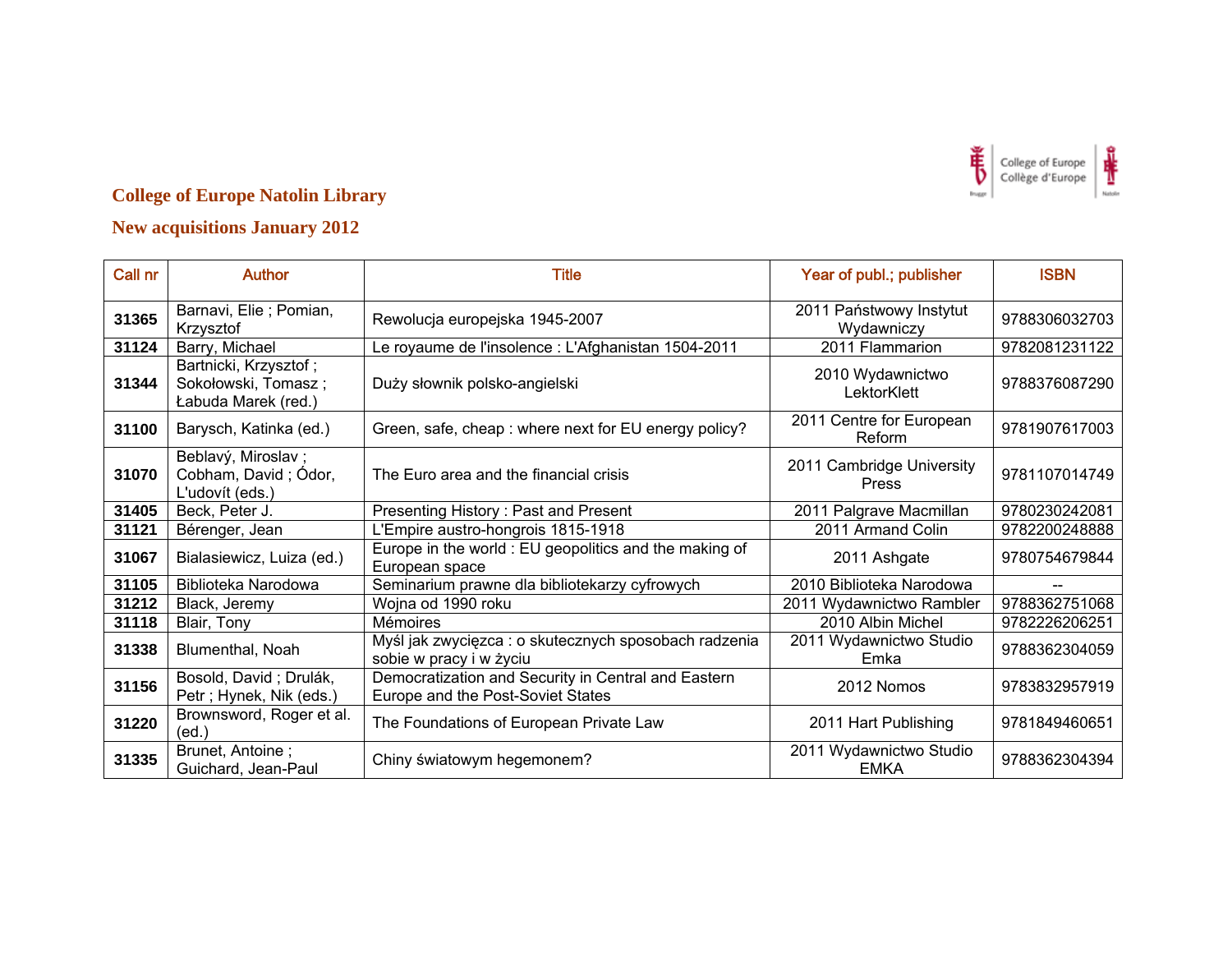

| Call nr | <b>Author</b>                                                       | <b>Title</b>                                                                             | Year of publ.; publisher               | <b>ISBN</b>   |
|---------|---------------------------------------------------------------------|------------------------------------------------------------------------------------------|----------------------------------------|---------------|
| 31365   | Barnavi, Elie ; Pomian,<br>Krzysztof                                | Rewolucja europejska 1945-2007                                                           | 2011 Państwowy Instytut<br>Wydawniczy  | 9788306032703 |
| 31124   | Barry, Michael                                                      | Le royaume de l'insolence : L'Afghanistan 1504-2011                                      | 2011 Flammarion                        | 9782081231122 |
| 31344   | Bartnicki, Krzysztof;<br>Sokołowski, Tomasz;<br>Łabuda Marek (red.) | Duży słownik polsko-angielski                                                            | 2010 Wydawnictwo<br>LektorKlett        | 9788376087290 |
| 31100   | Barysch, Katinka (ed.)                                              | Green, safe, cheap : where next for EU energy policy?                                    | 2011 Centre for European<br>Reform     | 9781907617003 |
| 31070   | Beblavý, Miroslav;<br>Cobham, David; Ódor,<br>L'udovít (eds.)       | The Euro area and the financial crisis                                                   | 2011 Cambridge University<br>Press     | 9781107014749 |
| 31405   | Beck, Peter J.                                                      | Presenting History: Past and Present                                                     | 2011 Palgrave Macmillan                | 9780230242081 |
| 31121   | Bérenger, Jean                                                      | L'Empire austro-hongrois 1815-1918                                                       | 2011 Armand Colin                      | 9782200248888 |
| 31067   | Bialasiewicz, Luiza (ed.)                                           | Europe in the world : EU geopolitics and the making of<br>European space                 | 2011 Ashgate                           | 9780754679844 |
| 31105   | Biblioteka Narodowa                                                 | Seminarium prawne dla bibliotekarzy cyfrowych                                            | 2010 Biblioteka Narodowa               |               |
| 31212   | Black, Jeremy                                                       | Wojna od 1990 roku                                                                       | 2011 Wydawnictwo Rambler               | 9788362751068 |
| 31118   | Blair, Tony                                                         | Mémoires                                                                                 | 2010 Albin Michel                      | 9782226206251 |
| 31338   | Blumenthal, Noah                                                    | Myśl jak zwycięzca : o skutecznych sposobach radzenia<br>sobie w pracy i w życiu         | 2011 Wydawnictwo Studio<br>Emka        | 9788362304059 |
| 31156   | Bosold, David; Drulák,<br>Petr; Hynek, Nik (eds.)                   | Democratization and Security in Central and Eastern<br>Europe and the Post-Soviet States | 2012 Nomos                             | 9783832957919 |
| 31220   | Brownsword, Roger et al.<br>(ed.)                                   | The Foundations of European Private Law                                                  | 2011 Hart Publishing                   | 9781849460651 |
| 31335   | Brunet, Antoine;<br>Guichard, Jean-Paul                             | Chiny światowym hegemonem?                                                               | 2011 Wydawnictwo Studio<br><b>EMKA</b> | 9788362304394 |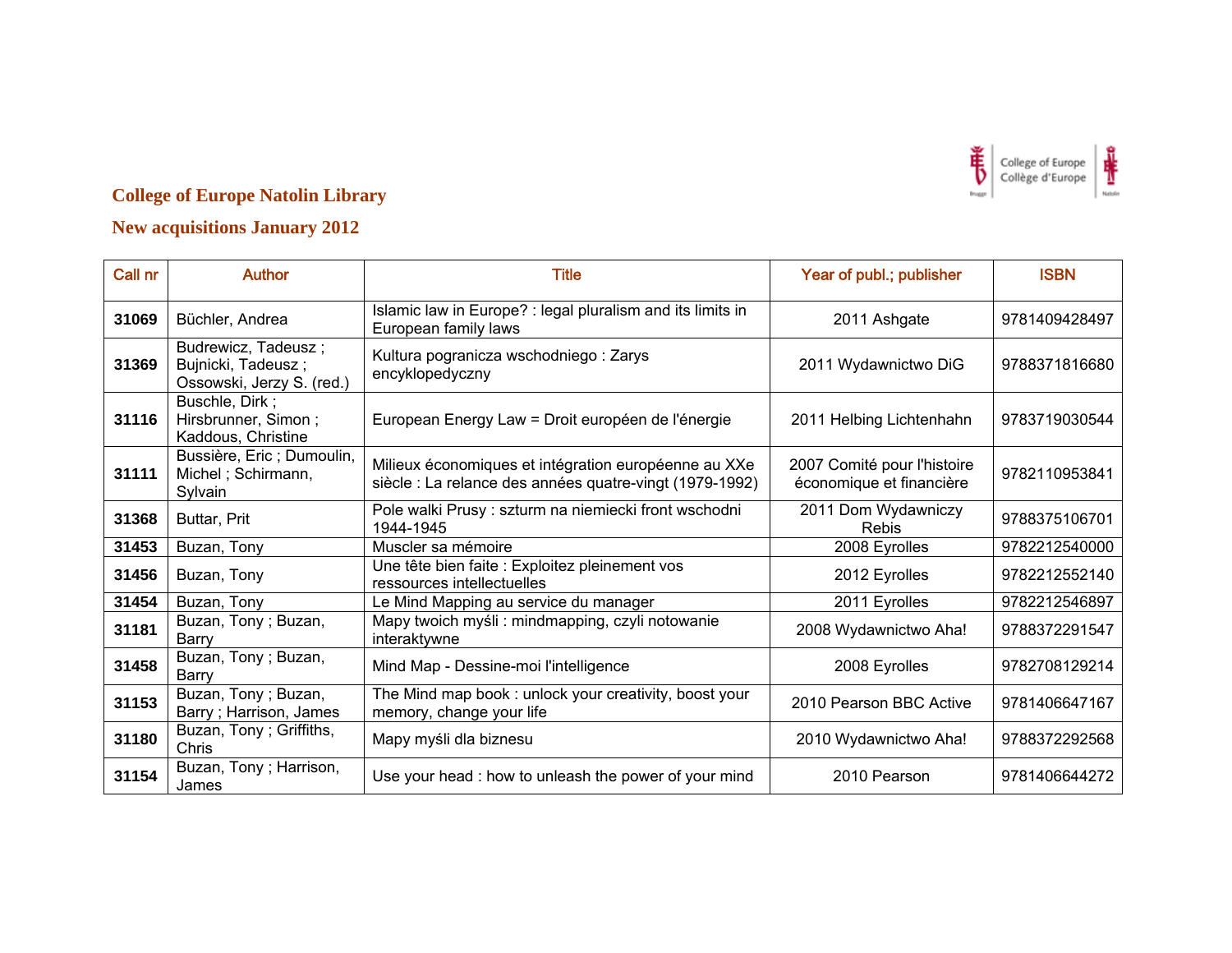

| Call nr | <b>Author</b>                                                          | <b>Title</b>                                                                                                    | Year of publ.; publisher                                | <b>ISBN</b>   |
|---------|------------------------------------------------------------------------|-----------------------------------------------------------------------------------------------------------------|---------------------------------------------------------|---------------|
| 31069   | Büchler, Andrea                                                        | Islamic law in Europe? : legal pluralism and its limits in<br>European family laws                              | 2011 Ashgate                                            | 9781409428497 |
| 31369   | Budrewicz, Tadeusz;<br>Bujnicki, Tadeusz;<br>Ossowski, Jerzy S. (red.) | Kultura pogranicza wschodniego: Zarys<br>encyklopedyczny                                                        | 2011 Wydawnictwo DiG                                    | 9788371816680 |
| 31116   | Buschle, Dirk;<br>Hirsbrunner, Simon;<br>Kaddous, Christine            | European Energy Law = Droit européen de l'énergie                                                               | 2011 Helbing Lichtenhahn                                | 9783719030544 |
| 31111   | Bussière, Eric; Dumoulin,<br>Michel; Schirmann,<br>Sylvain             | Milieux économiques et intégration européenne au XXe<br>siècle : La relance des années quatre-vingt (1979-1992) | 2007 Comité pour l'histoire<br>économique et financière | 9782110953841 |
| 31368   | Buttar, Prit                                                           | Pole walki Prusy : szturm na niemiecki front wschodni<br>1944-1945                                              | 2011 Dom Wydawniczy<br><b>Rebis</b>                     | 9788375106701 |
| 31453   | Buzan, Tony                                                            | Muscler sa mémoire                                                                                              | 2008 Eyrolles                                           | 9782212540000 |
| 31456   | Buzan, Tony                                                            | Une tête bien faite : Exploitez pleinement vos<br>ressources intellectuelles                                    | 2012 Eyrolles                                           | 9782212552140 |
| 31454   | Buzan, Tony                                                            | Le Mind Mapping au service du manager                                                                           | 2011 Eyrolles                                           | 9782212546897 |
| 31181   | Buzan, Tony; Buzan,<br>Barry                                           | Mapy twoich myśli: mindmapping, czyli notowanie<br>interaktywne                                                 | 2008 Wydawnictwo Aha!                                   | 9788372291547 |
| 31458   | Buzan, Tony; Buzan,<br>Barry                                           | Mind Map - Dessine-moi l'intelligence                                                                           | 2008 Eyrolles                                           | 9782708129214 |
| 31153   | Buzan, Tony; Buzan,<br>Barry; Harrison, James                          | The Mind map book: unlock your creativity, boost your<br>memory, change your life                               | 2010 Pearson BBC Active                                 | 9781406647167 |
| 31180   | Buzan, Tony; Griffiths,<br>Chris                                       | Mapy myśli dla biznesu                                                                                          | 2010 Wydawnictwo Aha!                                   | 9788372292568 |
| 31154   | Buzan, Tony; Harrison,<br>James                                        | Use your head: how to unleash the power of your mind                                                            | 2010 Pearson                                            | 9781406644272 |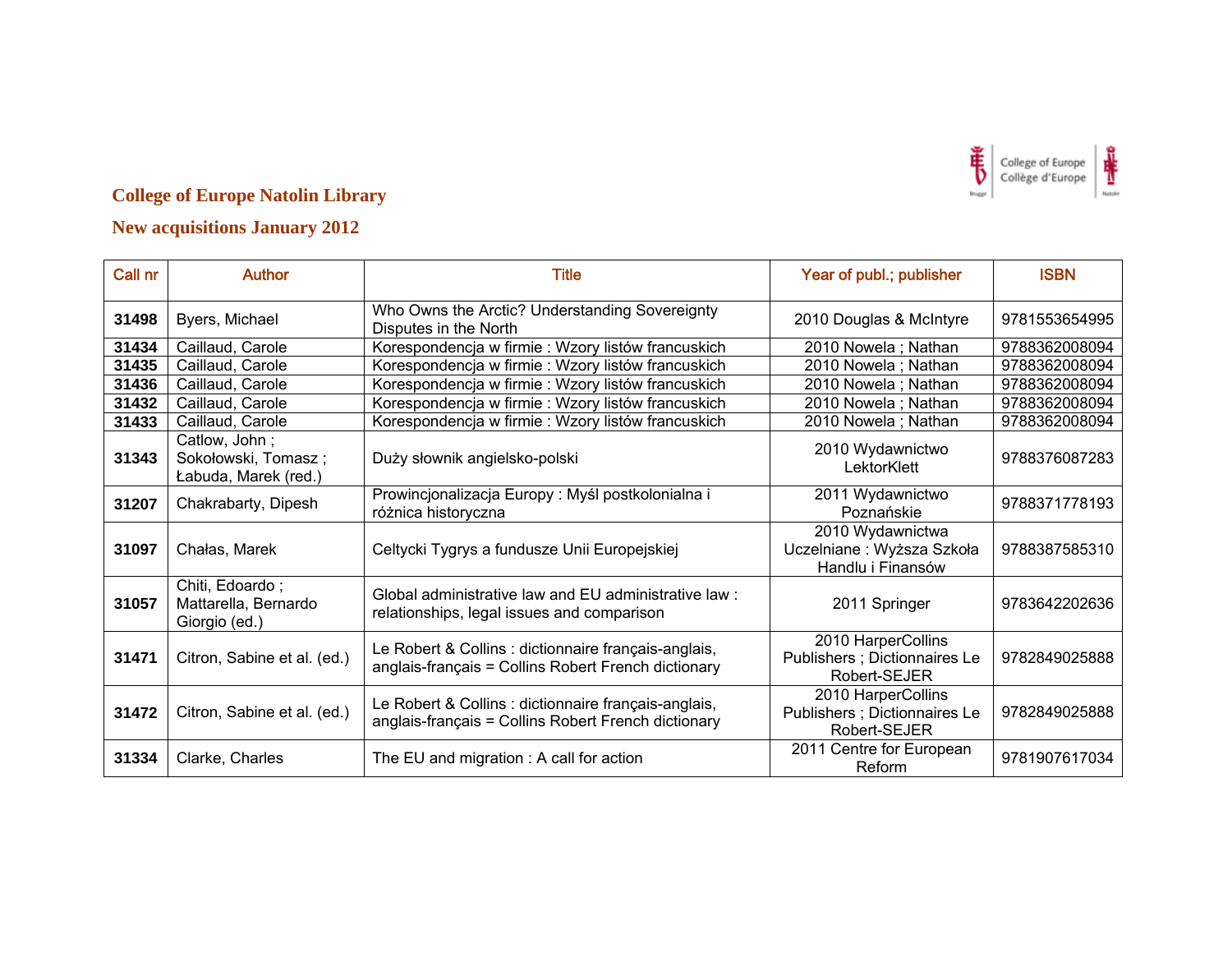

| Call nr | <b>Author</b>                                                | <b>Title</b>                                                                                                | Year of publ.; publisher                                            | <b>ISBN</b>   |
|---------|--------------------------------------------------------------|-------------------------------------------------------------------------------------------------------------|---------------------------------------------------------------------|---------------|
| 31498   | Byers, Michael                                               | Who Owns the Arctic? Understanding Sovereignty<br>Disputes in the North                                     | 2010 Douglas & McIntyre                                             | 9781553654995 |
| 31434   | Caillaud, Carole                                             | Korespondencja w firmie: Wzory listów francuskich                                                           | 2010 Nowela; Nathan                                                 | 9788362008094 |
| 31435   | Caillaud, Carole                                             | Korespondencja w firmie: Wzory listów francuskich                                                           | 2010 Nowela; Nathan                                                 | 9788362008094 |
| 31436   | Caillaud, Carole                                             | Korespondencja w firmie: Wzory listów francuskich                                                           | 2010 Nowela; Nathan                                                 | 9788362008094 |
| 31432   | Caillaud, Carole                                             | Korespondencja w firmie: Wzory listów francuskich                                                           | 2010 Nowela; Nathan                                                 | 9788362008094 |
| 31433   | Caillaud, Carole                                             | Korespondencja w firmie : Wzory listów francuskich                                                          | 2010 Nowela; Nathan                                                 | 9788362008094 |
| 31343   | Catlow, John;<br>Sokołowski, Tomasz;<br>Łabuda, Marek (red.) | Duży słownik angielsko-polski                                                                               | 2010 Wydawnictwo<br>LektorKlett                                     | 9788376087283 |
| 31207   | Chakrabarty, Dipesh                                          | Prowincjonalizacja Europy: Myśl postkolonialna i<br>różnica historyczna                                     | 2011 Wydawnictwo<br>Poznańskie                                      | 9788371778193 |
| 31097   | Chałas, Marek                                                | Celtycki Tygrys a fundusze Unii Europejskiej                                                                | 2010 Wydawnictwa<br>Uczelniane: Wyższa Szkoła<br>Handlu i Finansów  | 9788387585310 |
| 31057   | Chiti, Edoardo;<br>Mattarella, Bernardo<br>Giorgio (ed.)     | Global administrative law and EU administrative law:<br>relationships, legal issues and comparison          | 2011 Springer                                                       | 9783642202636 |
| 31471   | Citron, Sabine et al. (ed.)                                  | Le Robert & Collins : dictionnaire français-anglais,<br>anglais-français = Collins Robert French dictionary | 2010 HarperCollins<br>Publishers ; Dictionnaires Le<br>Robert-SEJER | 9782849025888 |
| 31472   | Citron, Sabine et al. (ed.)                                  | Le Robert & Collins : dictionnaire français-anglais,<br>anglais-français = Collins Robert French dictionary | 2010 HarperCollins<br>Publishers ; Dictionnaires Le<br>Robert-SEJER | 9782849025888 |
| 31334   | Clarke, Charles                                              | The EU and migration : A call for action                                                                    | 2011 Centre for European<br>Reform                                  | 9781907617034 |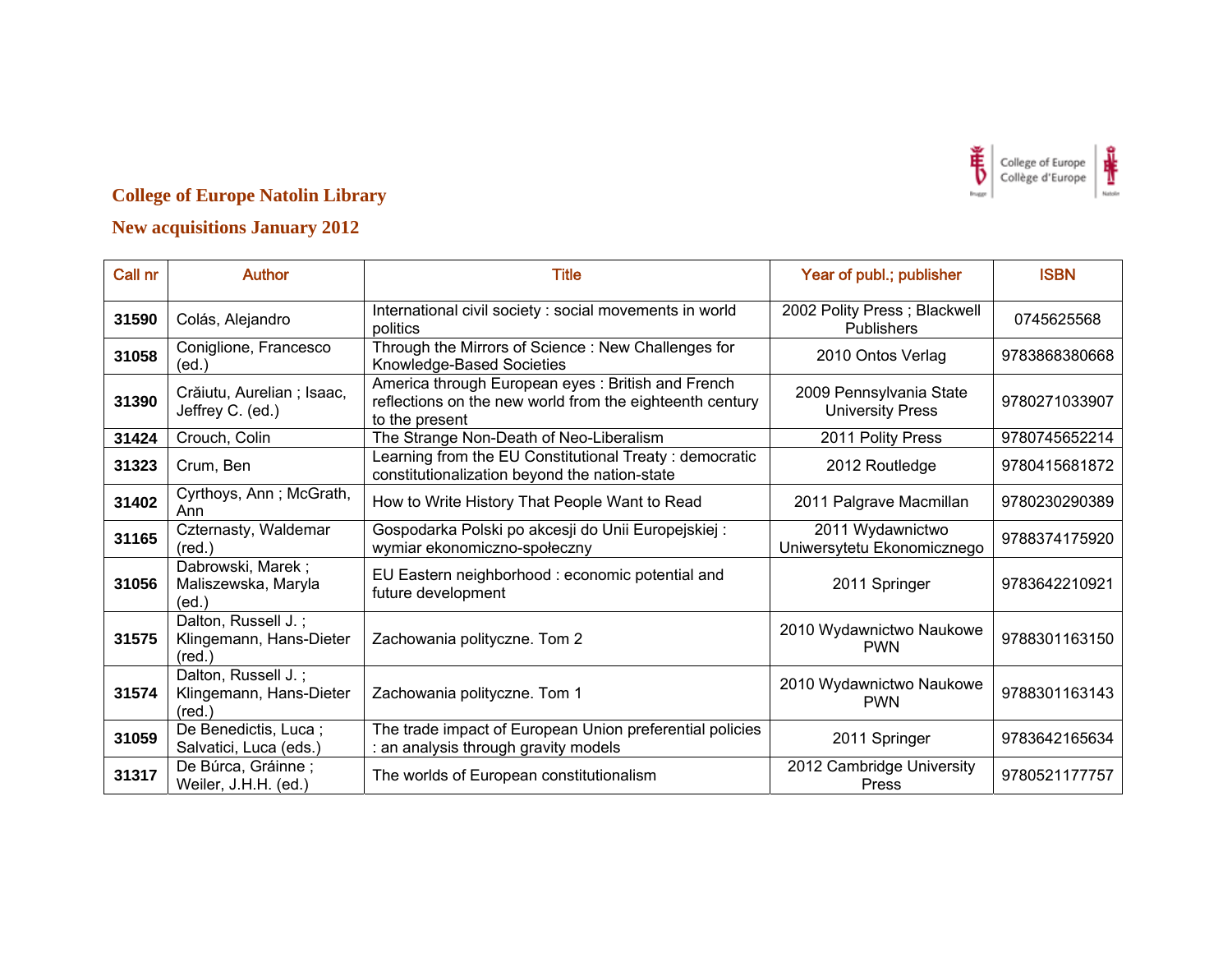

| Call nr | <b>Author</b>                                                     | <b>Title</b>                                                                                                                    | Year of publ.; publisher                           | <b>ISBN</b>   |
|---------|-------------------------------------------------------------------|---------------------------------------------------------------------------------------------------------------------------------|----------------------------------------------------|---------------|
| 31590   | Colás, Alejandro                                                  | International civil society : social movements in world<br>politics                                                             | 2002 Polity Press; Blackwell<br>Publishers         | 0745625568    |
| 31058   | Coniglione, Francesco<br>(ed.`                                    | Through the Mirrors of Science: New Challenges for<br>Knowledge-Based Societies                                                 | 2010 Ontos Verlag                                  | 9783868380668 |
| 31390   | Crăiutu, Aurelian ; Isaac,<br>Jeffrey C. (ed.)                    | America through European eyes: British and French<br>reflections on the new world from the eighteenth century<br>to the present | 2009 Pennsylvania State<br><b>University Press</b> | 9780271033907 |
| 31424   | Crouch, Colin                                                     | The Strange Non-Death of Neo-Liberalism                                                                                         | 2011 Polity Press                                  | 9780745652214 |
| 31323   | Crum, Ben                                                         | Learning from the EU Constitutional Treaty: democratic<br>constitutionalization beyond the nation-state                         | 2012 Routledge                                     | 9780415681872 |
| 31402   | Cyrthoys, Ann; McGrath,<br>Ann                                    | How to Write History That People Want to Read                                                                                   | 2011 Palgrave Macmillan                            | 9780230290389 |
| 31165   | Czternasty, Waldemar<br>$(\text{red.})$                           | Gospodarka Polski po akcesji do Unii Europejskiej:<br>wymiar ekonomiczno-społeczny                                              | 2011 Wydawnictwo<br>Uniwersytetu Ekonomicznego     | 9788374175920 |
| 31056   | Dabrowski, Marek;<br>Maliszewska, Maryla<br>(ed)                  | EU Eastern neighborhood : economic potential and<br>future development                                                          | 2011 Springer                                      | 9783642210921 |
| 31575   | Dalton, Russell J.;<br>Klingemann, Hans-Dieter<br>$(\text{red.})$ | Zachowania polityczne. Tom 2                                                                                                    | 2010 Wydawnictwo Naukowe<br><b>PWN</b>             | 9788301163150 |
| 31574   | Dalton, Russell J.;<br>Klingemann, Hans-Dieter<br>$(\text{red.})$ | Zachowania polityczne. Tom 1                                                                                                    | 2010 Wydawnictwo Naukowe<br><b>PWN</b>             | 9788301163143 |
| 31059   | De Benedictis, Luca;<br>Salvatici, Luca (eds.)                    | The trade impact of European Union preferential policies<br>: an analysis through gravity models                                | 2011 Springer                                      | 9783642165634 |
| 31317   | De Búrca, Gráinne;<br>Weiler, J.H.H. (ed.)                        | The worlds of European constitutionalism                                                                                        | 2012 Cambridge University<br>Press                 | 9780521177757 |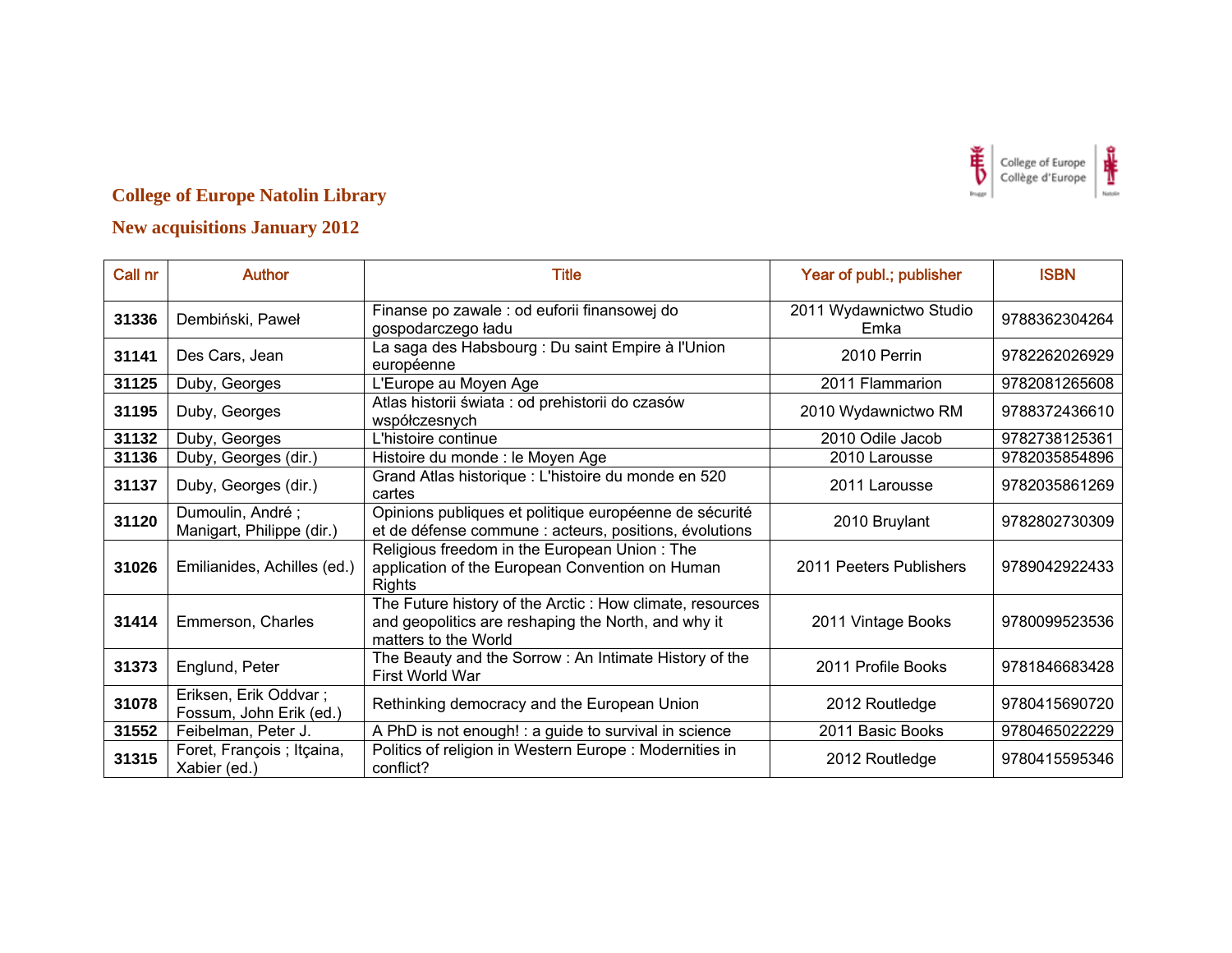

| Call nr | <b>Author</b>                                    | Title                                                                                                                                   | Year of publ.; publisher        | <b>ISBN</b>   |
|---------|--------------------------------------------------|-----------------------------------------------------------------------------------------------------------------------------------------|---------------------------------|---------------|
| 31336   | Dembiński, Paweł                                 | Finanse po zawale : od euforii finansowej do<br>gospodarczego ładu                                                                      | 2011 Wydawnictwo Studio<br>Emka | 9788362304264 |
| 31141   | Des Cars, Jean                                   | La saga des Habsbourg : Du saint Empire à l'Union<br>européenne                                                                         | 2010 Perrin                     | 9782262026929 |
| 31125   | Duby, Georges                                    | L'Europe au Moyen Age                                                                                                                   | 2011 Flammarion                 | 9782081265608 |
| 31195   | Duby, Georges                                    | Atlas historii świata : od prehistorii do czasów<br>współczesnych                                                                       | 2010 Wydawnictwo RM             | 9788372436610 |
| 31132   | Duby, Georges                                    | L'histoire continue                                                                                                                     | 2010 Odile Jacob                | 9782738125361 |
| 31136   | Duby, Georges (dir.)                             | Histoire du monde : le Moyen Age                                                                                                        | 2010 Larousse                   | 9782035854896 |
| 31137   | Duby, Georges (dir.)                             | Grand Atlas historique : L'histoire du monde en 520<br>cartes                                                                           | 2011 Larousse                   | 9782035861269 |
| 31120   | Dumoulin, André;<br>Manigart, Philippe (dir.)    | Opinions publiques et politique européenne de sécurité<br>et de défense commune : acteurs, positions, évolutions                        | 2010 Bruylant                   | 9782802730309 |
| 31026   | Emilianides, Achilles (ed.)                      | Religious freedom in the European Union: The<br>application of the European Convention on Human<br>Rights                               | 2011 Peeters Publishers         | 9789042922433 |
| 31414   | Emmerson, Charles                                | The Future history of the Arctic: How climate, resources<br>and geopolitics are reshaping the North, and why it<br>matters to the World | 2011 Vintage Books              | 9780099523536 |
| 31373   | Englund, Peter                                   | The Beauty and the Sorrow : An Intimate History of the<br>First World War                                                               | 2011 Profile Books              | 9781846683428 |
| 31078   | Eriksen, Erik Oddvar;<br>Fossum, John Erik (ed.) | Rethinking democracy and the European Union                                                                                             | 2012 Routledge                  | 9780415690720 |
| 31552   | Feibelman, Peter J.                              | A PhD is not enough! : a guide to survival in science                                                                                   | 2011 Basic Books                | 9780465022229 |
| 31315   | Foret, François ; Itçaina,<br>Xabier (ed.)       | Politics of religion in Western Europe: Modernities in<br>conflict?                                                                     | 2012 Routledge                  | 9780415595346 |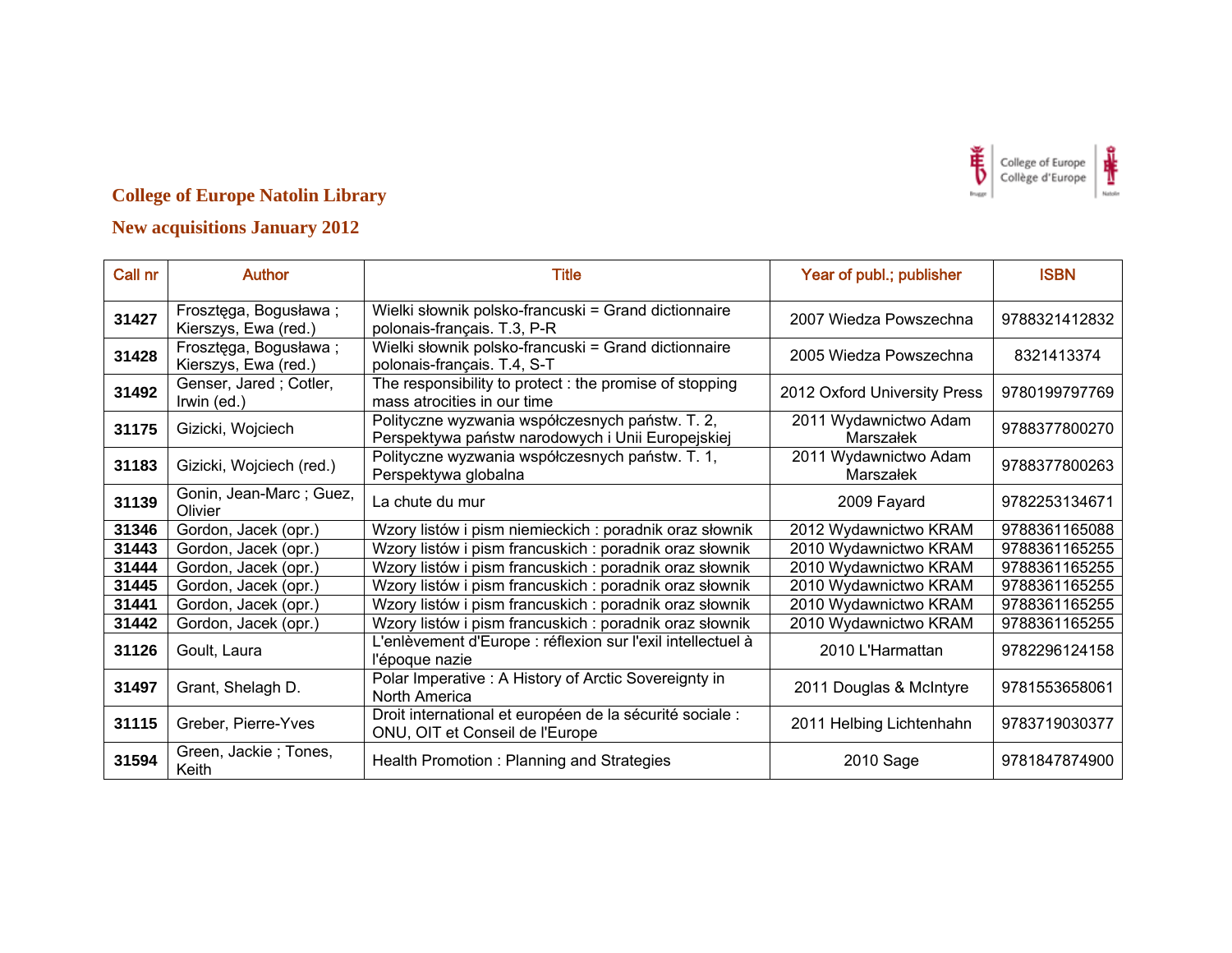

| Call nr | <b>Author</b>                                 | <b>Title</b>                                                                                         | Year of publ.; publisher           | <b>ISBN</b>   |
|---------|-----------------------------------------------|------------------------------------------------------------------------------------------------------|------------------------------------|---------------|
| 31427   | Frosztęga, Bogusława;<br>Kierszys, Ewa (red.) | Wielki słownik polsko-francuski = Grand dictionnaire<br>polonais-français. T.3, P-R                  | 2007 Wiedza Powszechna             | 9788321412832 |
| 31428   | Frosztęga, Bogusława;<br>Kierszys, Ewa (red.) | Wielki słownik polsko-francuski = Grand dictionnaire<br>polonais-français. T.4, S-T                  | 2005 Wiedza Powszechna             | 8321413374    |
| 31492   | Genser, Jared; Cotler,<br>Irwin (ed.)         | The responsibility to protect: the promise of stopping<br>mass atrocities in our time                | 2012 Oxford University Press       | 9780199797769 |
| 31175   | Gizicki, Wojciech                             | Polityczne wyzwania współczesnych państw. T. 2,<br>Perspektywa państw narodowych i Unii Europejskiej | 2011 Wydawnictwo Adam<br>Marszałek | 9788377800270 |
| 31183   | Gizicki, Wojciech (red.)                      | Polityczne wyzwania współczesnych państw. T. 1,<br>Perspektywa globalna                              | 2011 Wydawnictwo Adam<br>Marszałek | 9788377800263 |
| 31139   | Gonin, Jean-Marc; Guez,<br>Olivier            | La chute du mur                                                                                      | 2009 Fayard                        | 9782253134671 |
| 31346   | Gordon, Jacek (opr.)                          | Wzory listów i pism niemieckich: poradnik oraz słownik                                               | 2012 Wydawnictwo KRAM              | 9788361165088 |
| 31443   | Gordon, Jacek (opr.)                          | Wzory listów i pism francuskich: poradnik oraz słownik                                               | 2010 Wydawnictwo KRAM              | 9788361165255 |
| 31444   | Gordon, Jacek (opr.)                          | Wzory listów i pism francuskich: poradnik oraz słownik                                               | 2010 Wydawnictwo KRAM              | 9788361165255 |
| 31445   | Gordon, Jacek (opr.)                          | Wzory listów i pism francuskich: poradnik oraz słownik                                               | 2010 Wydawnictwo KRAM              | 9788361165255 |
| 31441   | Gordon, Jacek (opr.)                          | Wzory listów i pism francuskich: poradnik oraz słownik                                               | 2010 Wydawnictwo KRAM              | 9788361165255 |
| 31442   | Gordon, Jacek (opr.)                          | Wzory listów i pism francuskich: poradnik oraz słownik                                               | 2010 Wydawnictwo KRAM              | 9788361165255 |
| 31126   | Goult, Laura                                  | L'enlèvement d'Europe : réflexion sur l'exil intellectuel à<br>l'époque nazie                        | 2010 L'Harmattan                   | 9782296124158 |
| 31497   | Grant, Shelagh D.                             | Polar Imperative : A History of Arctic Sovereignty in<br>North America                               | 2011 Douglas & McIntyre            | 9781553658061 |
| 31115   | Greber, Pierre-Yves                           | Droit international et européen de la sécurité sociale :<br>ONU, OIT et Conseil de l'Europe          | 2011 Helbing Lichtenhahn           | 9783719030377 |
| 31594   | Green, Jackie; Tones,<br>Keith                | Health Promotion: Planning and Strategies                                                            | 2010 Sage                          | 9781847874900 |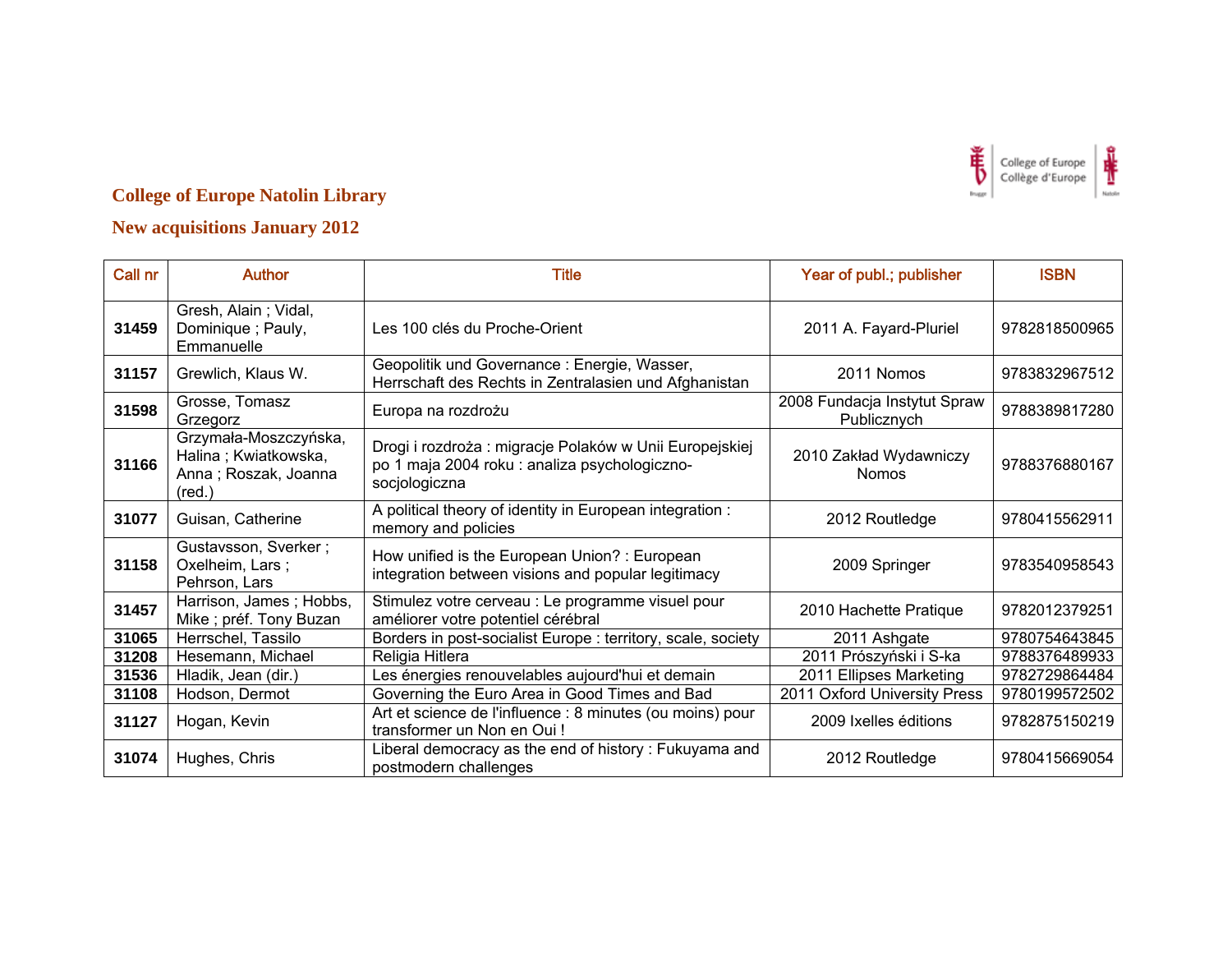

| Call nr | <b>Author</b>                                                                            | <b>Title</b>                                                                                                             | Year of publ.; publisher                    | <b>ISBN</b>   |
|---------|------------------------------------------------------------------------------------------|--------------------------------------------------------------------------------------------------------------------------|---------------------------------------------|---------------|
| 31459   | Gresh, Alain; Vidal,<br>Dominique; Pauly,<br>Emmanuelle                                  | Les 100 clés du Proche-Orient                                                                                            | 2011 A. Fayard-Pluriel                      | 9782818500965 |
| 31157   | Grewlich, Klaus W.                                                                       | Geopolitik und Governance : Energie, Wasser,<br>Herrschaft des Rechts in Zentralasien und Afghanistan                    | 2011 Nomos                                  | 9783832967512 |
| 31598   | Grosse, Tomasz<br>Grzegorz                                                               | Europa na rozdrożu                                                                                                       | 2008 Fundacja Instytut Spraw<br>Publicznych | 9788389817280 |
| 31166   | Grzymała-Moszczyńska,<br>Halina; Kwiatkowska,<br>Anna; Roszak, Joanna<br>$(\text{red.})$ | Drogi i rozdroża: migracje Polaków w Unii Europejskiej<br>po 1 maja 2004 roku : analiza psychologiczno-<br>socjologiczna | 2010 Zakład Wydawniczy<br><b>Nomos</b>      | 9788376880167 |
| 31077   | Guisan, Catherine                                                                        | A political theory of identity in European integration :<br>memory and policies                                          | 2012 Routledge                              | 9780415562911 |
| 31158   | Gustavsson, Sverker;<br>Oxelheim, Lars;<br>Pehrson, Lars                                 | How unified is the European Union? : European<br>integration between visions and popular legitimacy                      | 2009 Springer                               | 9783540958543 |
| 31457   | Harrison, James; Hobbs,<br>Mike; préf. Tony Buzan                                        | Stimulez votre cerveau : Le programme visuel pour<br>améliorer votre potentiel cérébral                                  | 2010 Hachette Pratique                      | 9782012379251 |
| 31065   | Herrschel, Tassilo                                                                       | Borders in post-socialist Europe: territory, scale, society                                                              | 2011 Ashgate                                | 9780754643845 |
| 31208   | Hesemann, Michael                                                                        | Religia Hitlera                                                                                                          | 2011 Prószyński i S-ka                      | 9788376489933 |
| 31536   | Hladik, Jean (dir.)                                                                      | Les énergies renouvelables aujourd'hui et demain                                                                         | 2011 Ellipses Marketing                     | 9782729864484 |
| 31108   | Hodson, Dermot                                                                           | Governing the Euro Area in Good Times and Bad                                                                            | 2011 Oxford University Press                | 9780199572502 |
| 31127   | Hogan, Kevin                                                                             | Art et science de l'influence : 8 minutes (ou moins) pour<br>transformer un Non en Oui!                                  | 2009 Ixelles éditions                       | 9782875150219 |
| 31074   | Hughes, Chris                                                                            | Liberal democracy as the end of history: Fukuyama and<br>postmodern challenges                                           | 2012 Routledge                              | 9780415669054 |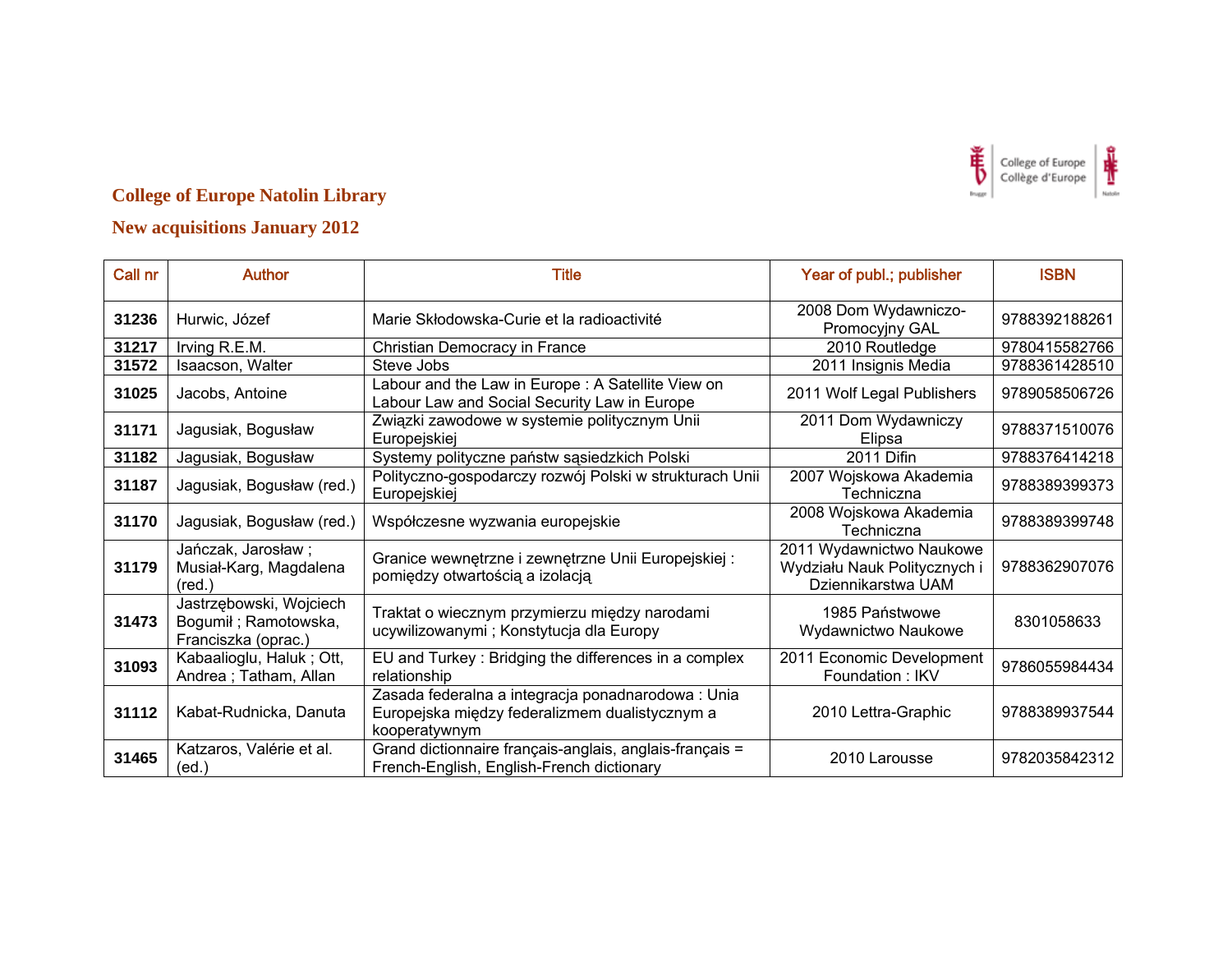

| Call nr | <b>Author</b>                                                          | Title                                                                                                                 | Year of publ.; publisher                                                       | <b>ISBN</b>   |
|---------|------------------------------------------------------------------------|-----------------------------------------------------------------------------------------------------------------------|--------------------------------------------------------------------------------|---------------|
| 31236   | Hurwic, Józef                                                          | Marie Skłodowska-Curie et la radioactivité                                                                            | 2008 Dom Wydawniczo-<br>Promocyjny GAL                                         | 9788392188261 |
| 31217   | Irving R.E.M.                                                          | Christian Democracy in France                                                                                         | 2010 Routledge                                                                 | 9780415582766 |
| 31572   | Isaacson, Walter                                                       | Steve Jobs                                                                                                            | 2011 Insignis Media                                                            | 9788361428510 |
| 31025   | Jacobs, Antoine                                                        | Labour and the Law in Europe: A Satellite View on<br>Labour Law and Social Security Law in Europe                     | 2011 Wolf Legal Publishers                                                     | 9789058506726 |
| 31171   | Jagusiak, Bogusław                                                     | Związki zawodowe w systemie politycznym Unii<br>Europejskiej                                                          | 2011 Dom Wydawniczy<br>Elipsa                                                  | 9788371510076 |
| 31182   | Jagusiak, Bogusław                                                     | Systemy polityczne państw sąsiedzkich Polski                                                                          | 2011 Difin                                                                     | 9788376414218 |
| 31187   | Jagusiak, Bogusław (red.)                                              | Polityczno-gospodarczy rozwój Polski w strukturach Unii<br>Europejskiej                                               | 2007 Wojskowa Akademia<br>Techniczna                                           | 9788389399373 |
| 31170   | Jagusiak, Bogusław (red.)                                              | Współczesne wyzwania europejskie                                                                                      | 2008 Wojskowa Akademia<br>Techniczna                                           | 9788389399748 |
| 31179   | Jańczak, Jarosław;<br>Musiał-Karg, Magdalena<br>$(\text{red.})$        | Granice wewnętrzne i zewnętrzne Unii Europejskiej :<br>pomiędzy otwartością a izolacją                                | 2011 Wydawnictwo Naukowe<br>Wydziału Nauk Politycznych i<br>Dziennikarstwa UAM | 9788362907076 |
| 31473   | Jastrzębowski, Wojciech<br>Bogumił; Ramotowska,<br>Franciszka (oprac.) | Traktat o wiecznym przymierzu między narodami<br>ucywilizowanymi ; Konstytucja dla Europy                             | 1985 Państwowe<br>Wydawnictwo Naukowe                                          | 8301058633    |
| 31093   | Kabaalioglu, Haluk; Ott,<br>Andrea; Tatham, Allan                      | EU and Turkey: Bridging the differences in a complex<br>relationship                                                  | 2011 Economic Development<br>Foundation: IKV                                   | 9786055984434 |
| 31112   | Kabat-Rudnicka, Danuta                                                 | Zasada federalna a integracja ponadnarodowa : Unia<br>Europejska między federalizmem dualistycznym a<br>kooperatywnym | 2010 Lettra-Graphic                                                            | 9788389937544 |
| 31465   | Katzaros, Valérie et al.<br>(ed.)                                      | Grand dictionnaire français-anglais, anglais-français =<br>French-English, English-French dictionary                  | 2010 Larousse                                                                  | 9782035842312 |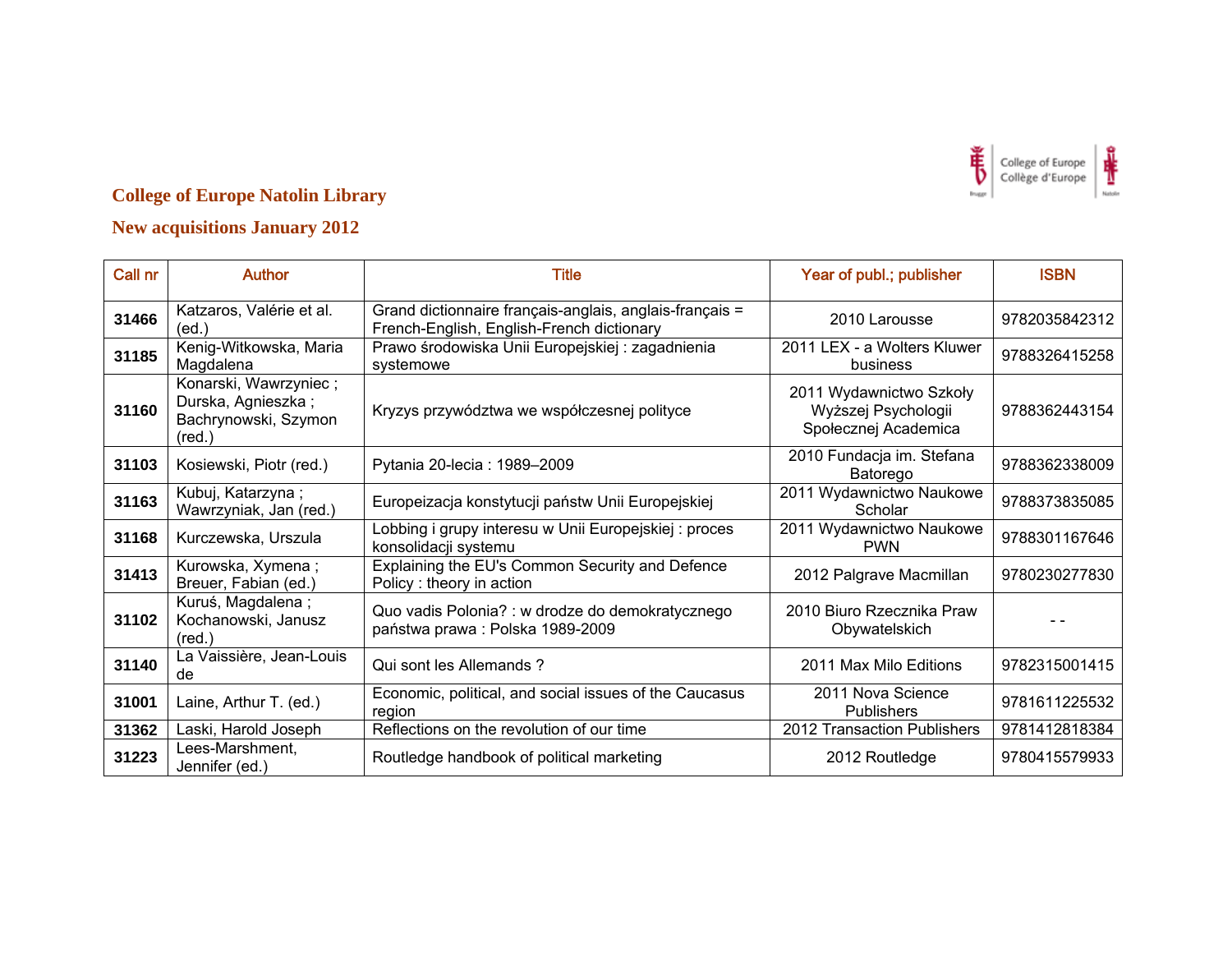

| Call nr | <b>Author</b>                                                                          | <b>Title</b>                                                                                         | Year of publ.; publisher                                               | <b>ISBN</b>   |
|---------|----------------------------------------------------------------------------------------|------------------------------------------------------------------------------------------------------|------------------------------------------------------------------------|---------------|
| 31466   | Katzaros, Valérie et al.<br>(ed)                                                       | Grand dictionnaire français-anglais, anglais-français =<br>French-English, English-French dictionary | 2010 Larousse                                                          | 9782035842312 |
| 31185   | Kenig-Witkowska, Maria<br>Magdalena                                                    | Prawo środowiska Unii Europejskiej: zagadnienia<br>systemowe                                         | 2011 LEX - a Wolters Kluwer<br>business                                | 9788326415258 |
| 31160   | Konarski, Wawrzyniec;<br>Durska, Agnieszka;<br>Bachrynowski, Szymon<br>$(\text{red.})$ | Kryzys przywództwa we współczesnej polityce                                                          | 2011 Wydawnictwo Szkoły<br>Wyższej Psychologii<br>Społecznej Academica | 9788362443154 |
| 31103   | Kosiewski, Piotr (red.)                                                                | Pytania 20-lecia: 1989-2009                                                                          | 2010 Fundacja im. Stefana<br>Batorego                                  | 9788362338009 |
| 31163   | Kubuj, Katarzyna;<br>Wawrzyniak, Jan (red.)                                            | Europeizacja konstytucji państw Unii Europejskiej                                                    | 2011 Wydawnictwo Naukowe<br>Scholar                                    | 9788373835085 |
| 31168   | Kurczewska, Urszula                                                                    | Lobbing i grupy interesu w Unii Europejskiej : proces<br>konsolidacji systemu                        | 2011 Wydawnictwo Naukowe<br><b>PWN</b>                                 | 9788301167646 |
| 31413   | Kurowska, Xymena;<br>Breuer, Fabian (ed.)                                              | Explaining the EU's Common Security and Defence<br>Policy: theory in action                          | 2012 Palgrave Macmillan                                                | 9780230277830 |
| 31102   | Kuruś, Magdalena;<br>Kochanowski, Janusz<br>$(\text{red.})$                            | Quo vadis Polonia? : w drodze do demokratycznego<br>państwa prawa: Polska 1989-2009                  | 2010 Biuro Rzecznika Praw<br>Obywatelskich                             |               |
| 31140   | La Vaissière, Jean-Louis<br>de                                                         | Qui sont les Allemands?                                                                              | 2011 Max Milo Editions                                                 | 9782315001415 |
| 31001   | Laine, Arthur T. (ed.)                                                                 | Economic, political, and social issues of the Caucasus<br>region                                     | 2011 Nova Science<br><b>Publishers</b>                                 | 9781611225532 |
| 31362   | Laski, Harold Joseph                                                                   | Reflections on the revolution of our time                                                            | 2012 Transaction Publishers                                            | 9781412818384 |
| 31223   | Lees-Marshment,<br>Jennifer (ed.)                                                      | Routledge handbook of political marketing                                                            | 2012 Routledge                                                         | 9780415579933 |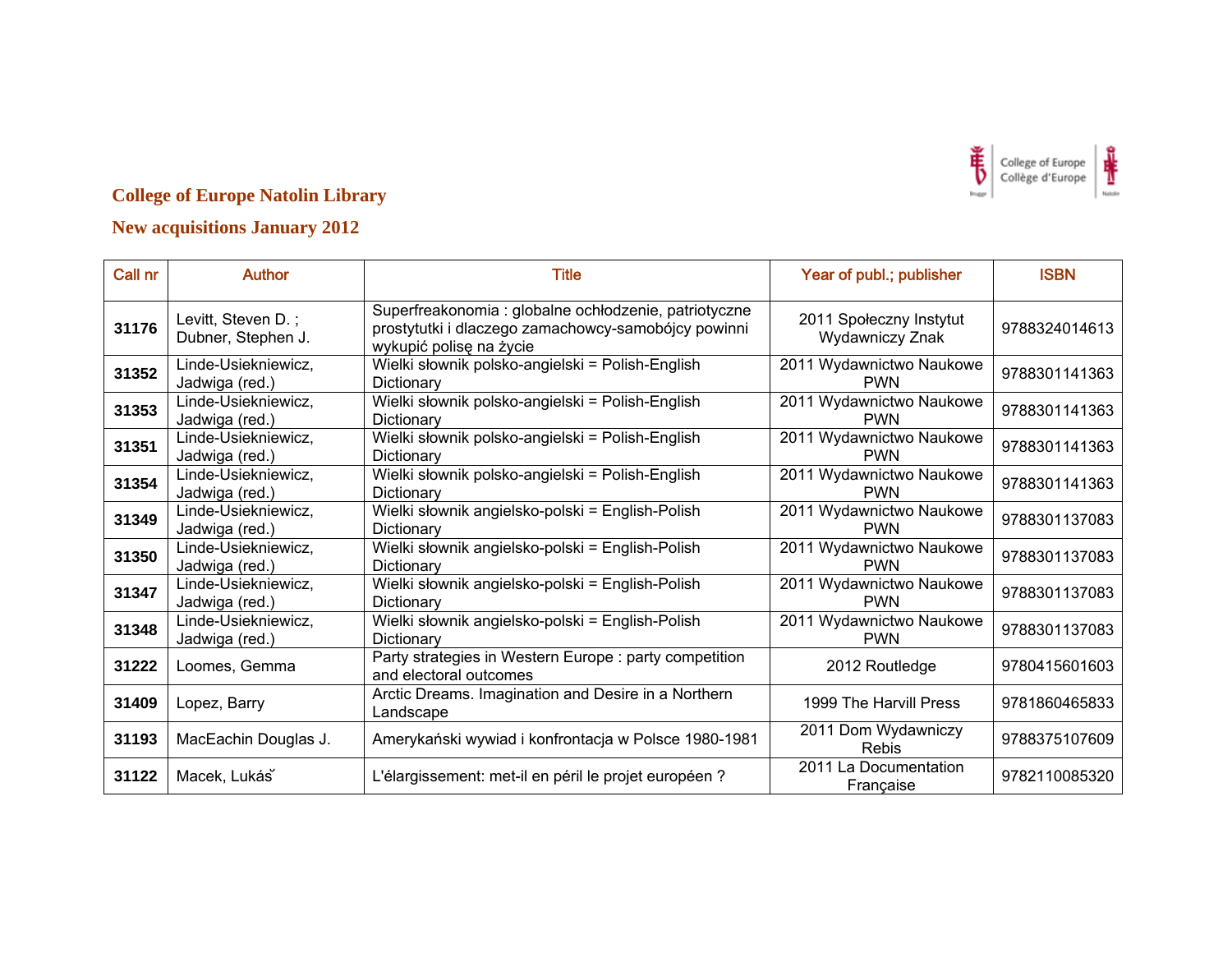

| Call nr | <b>Author</b>                            | <b>Title</b>                                                                                                                            | Year of publ.; publisher                   | <b>ISBN</b>   |
|---------|------------------------------------------|-----------------------------------------------------------------------------------------------------------------------------------------|--------------------------------------------|---------------|
| 31176   | Levitt, Steven D.;<br>Dubner, Stephen J. | Superfreakonomia : globalne ochłodzenie, patriotyczne<br>prostytutki i dlaczego zamachowcy-samobójcy powinni<br>wykupić polisę na życie | 2011 Społeczny Instytut<br>Wydawniczy Znak | 9788324014613 |
| 31352   | Linde-Usiekniewicz,<br>Jadwiga (red.)    | Wielki słownik polsko-angielski = Polish-English<br>Dictionary                                                                          | 2011 Wydawnictwo Naukowe<br><b>PWN</b>     | 9788301141363 |
| 31353   | Linde-Usiekniewicz,<br>Jadwiga (red.)    | Wielki słownik polsko-angielski = Polish-English<br>Dictionary                                                                          | 2011 Wydawnictwo Naukowe<br><b>PWN</b>     | 9788301141363 |
| 31351   | Linde-Usiekniewicz,<br>Jadwiga (red.)    | Wielki słownik polsko-angielski = Polish-English<br>Dictionary                                                                          | 2011 Wydawnictwo Naukowe<br><b>PWN</b>     | 9788301141363 |
| 31354   | Linde-Usiekniewicz,<br>Jadwiga (red.)    | Wielki słownik polsko-angielski = Polish-English<br>Dictionary                                                                          | 2011 Wydawnictwo Naukowe<br><b>PWN</b>     | 9788301141363 |
| 31349   | Linde-Usiekniewicz,<br>Jadwiga (red.)    | Wielki słownik angielsko-polski = English-Polish<br>Dictionary                                                                          | 2011 Wydawnictwo Naukowe<br><b>PWN</b>     | 9788301137083 |
| 31350   | Linde-Usiekniewicz,<br>Jadwiga (red.)    | Wielki słownik angielsko-polski = English-Polish<br>Dictionary                                                                          | 2011 Wydawnictwo Naukowe<br><b>PWN</b>     | 9788301137083 |
| 31347   | Linde-Usiekniewicz,<br>Jadwiga (red.)    | Wielki słownik angielsko-polski = English-Polish<br>Dictionary                                                                          | 2011 Wydawnictwo Naukowe<br><b>PWN</b>     | 9788301137083 |
| 31348   | Linde-Usiekniewicz,<br>Jadwiga (red.)    | Wielki słownik angielsko-polski = English-Polish<br>Dictionary                                                                          | 2011 Wydawnictwo Naukowe<br><b>PWN</b>     | 9788301137083 |
| 31222   | Loomes, Gemma                            | Party strategies in Western Europe : party competition<br>and electoral outcomes                                                        | 2012 Routledge                             | 9780415601603 |
| 31409   | Lopez, Barry                             | Arctic Dreams. Imagination and Desire in a Northern<br>Landscape                                                                        | 1999 The Harvill Press                     | 9781860465833 |
| 31193   | MacEachin Douglas J.                     | Amerykański wywiad i konfrontacja w Polsce 1980-1981                                                                                    | 2011 Dom Wydawniczy<br><b>Rebis</b>        | 9788375107609 |
| 31122   | Macek, Lukás                             | L'élargissement: met-il en péril le projet européen ?                                                                                   | 2011 La Documentation<br>Française         | 9782110085320 |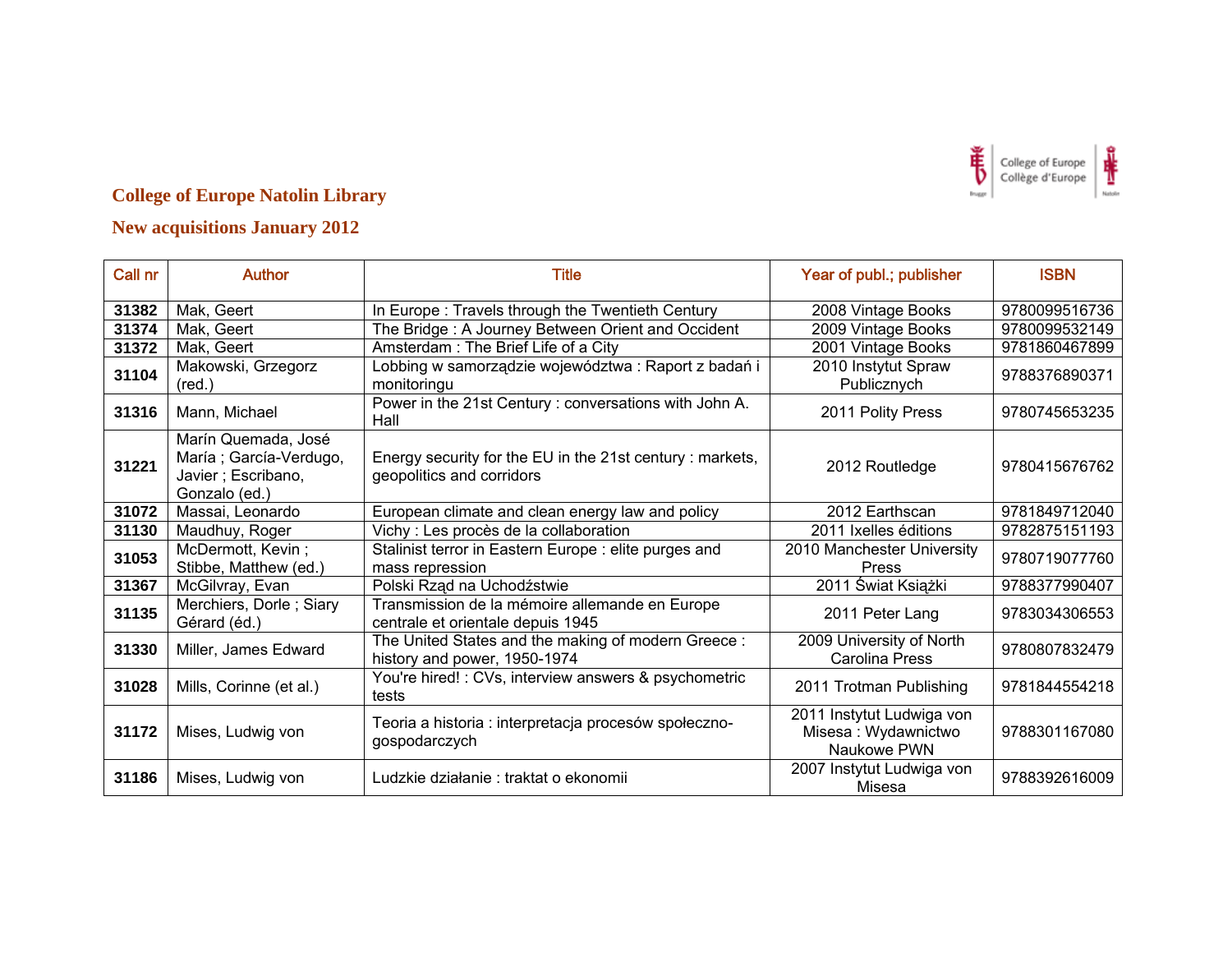

| Call nr | <b>Author</b>                                                                        | <b>Title</b>                                                                           | Year of publ.; publisher                                        | <b>ISBN</b>   |
|---------|--------------------------------------------------------------------------------------|----------------------------------------------------------------------------------------|-----------------------------------------------------------------|---------------|
| 31382   | Mak, Geert                                                                           | In Europe: Travels through the Twentieth Century                                       | 2008 Vintage Books                                              | 9780099516736 |
| 31374   | Mak, Geert                                                                           | The Bridge: A Journey Between Orient and Occident                                      | 2009 Vintage Books                                              | 9780099532149 |
| 31372   | Mak, Geert                                                                           | Amsterdam: The Brief Life of a City                                                    | 2001 Vintage Books                                              | 9781860467899 |
| 31104   | Makowski, Grzegorz<br>$(\text{red.})$                                                | Lobbing w samorządzie województwa: Raport z badań i<br>monitoringu                     | 2010 Instytut Spraw<br>Publicznych                              | 9788376890371 |
| 31316   | Mann, Michael                                                                        | Power in the 21st Century: conversations with John A.<br>Hall                          | 2011 Polity Press                                               | 9780745653235 |
| 31221   | Marín Quemada, José<br>María; García-Verdugo,<br>Javier; Escribano,<br>Gonzalo (ed.) | Energy security for the EU in the 21st century : markets,<br>geopolitics and corridors | 2012 Routledge                                                  | 9780415676762 |
| 31072   | Massai, Leonardo                                                                     | European climate and clean energy law and policy                                       | 2012 Earthscan                                                  | 9781849712040 |
| 31130   | Maudhuy, Roger                                                                       | Vichy : Les procès de la collaboration                                                 | 2011 Ixelles éditions                                           | 9782875151193 |
| 31053   | McDermott, Kevin;<br>Stibbe, Matthew (ed.)                                           | Stalinist terror in Eastern Europe : elite purges and<br>mass repression               | 2010 Manchester University<br>Press                             | 9780719077760 |
| 31367   | McGilvray, Evan                                                                      | Polski Rząd na Uchodźstwie                                                             | 2011 Świat Książki                                              | 9788377990407 |
| 31135   | Merchiers, Dorle; Siary<br>Gérard (éd.)                                              | Transmission de la mémoire allemande en Europe<br>centrale et orientale depuis 1945    | 2011 Peter Lang                                                 | 9783034306553 |
| 31330   | Miller, James Edward                                                                 | The United States and the making of modern Greece:<br>history and power, 1950-1974     | 2009 University of North<br>Carolina Press                      | 9780807832479 |
| 31028   | Mills, Corinne (et al.)                                                              | You're hired! : CVs, interview answers & psychometric<br>tests                         | 2011 Trotman Publishing                                         | 9781844554218 |
| 31172   | Mises, Ludwig von                                                                    | Teoria a historia : interpretacja procesów społeczno-<br>gospodarczych                 | 2011 Instytut Ludwiga von<br>Misesa: Wydawnictwo<br>Naukowe PWN | 9788301167080 |
| 31186   | Mises, Ludwig von                                                                    | Ludzkie działanie : traktat o ekonomii                                                 | 2007 Instytut Ludwiga von<br>Misesa                             | 9788392616009 |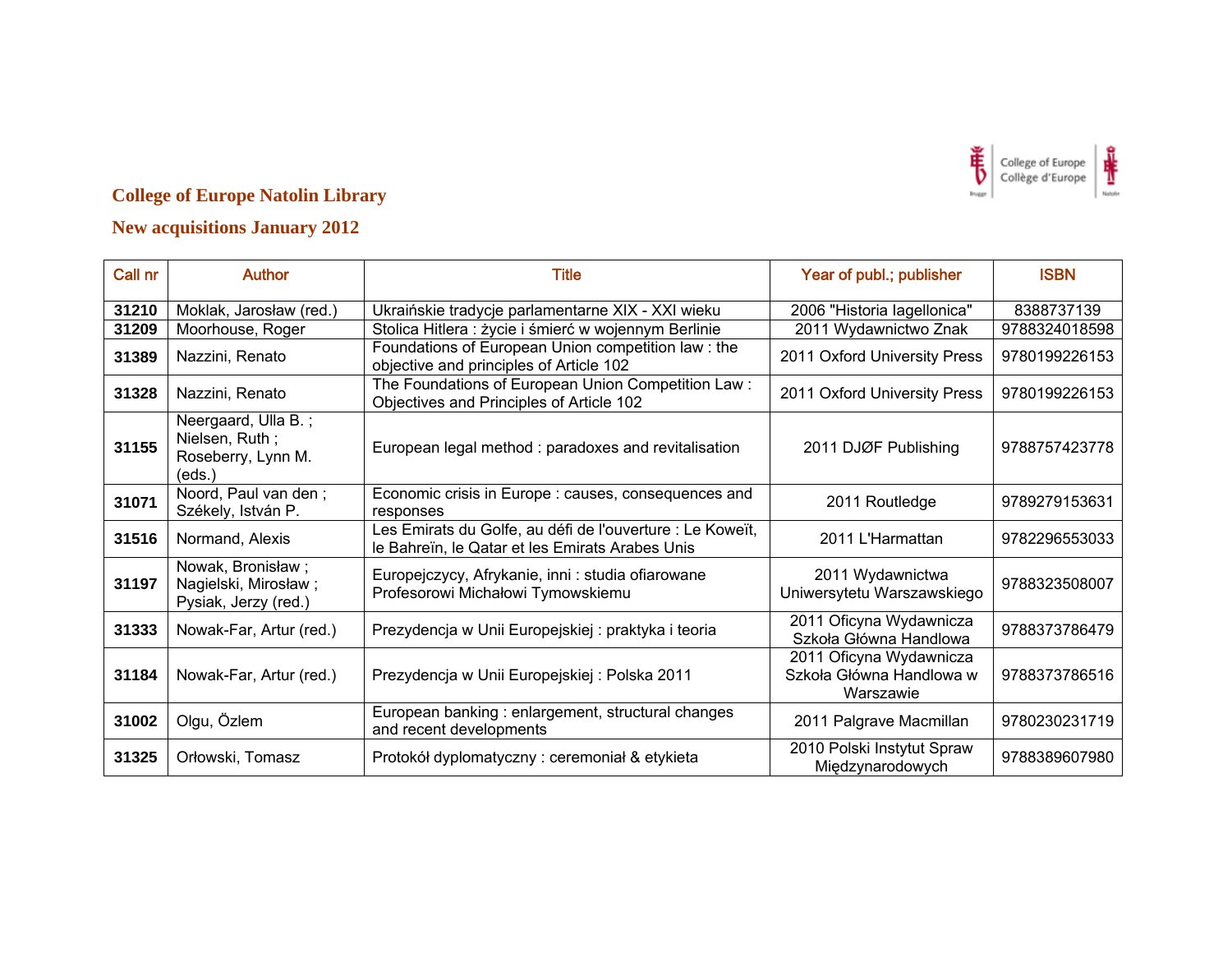

| Call nr | <b>Author</b>                                                         | <b>Title</b>                                                                                                 | Year of publ.; publisher                                         | <b>ISBN</b>   |
|---------|-----------------------------------------------------------------------|--------------------------------------------------------------------------------------------------------------|------------------------------------------------------------------|---------------|
| 31210   | Moklak, Jarosław (red.)                                               | Ukraińskie tradycje parlamentarne XIX - XXI wieku                                                            | 2006 "Historia lagellonica"                                      | 8388737139    |
| 31209   | Moorhouse, Roger                                                      | Stolica Hitlera : życie i śmierć w wojennym Berlinie                                                         | 2011 Wydawnictwo Znak                                            | 9788324018598 |
| 31389   | Nazzini, Renato                                                       | Foundations of European Union competition law: the<br>objective and principles of Article 102                | 2011 Oxford University Press                                     | 9780199226153 |
| 31328   | Nazzini, Renato                                                       | The Foundations of European Union Competition Law:<br>Objectives and Principles of Article 102               | 2011 Oxford University Press                                     | 9780199226153 |
| 31155   | Neergaard, Ulla B.;<br>Nielsen, Ruth;<br>Roseberry, Lynn M.<br>(eds.) | European legal method: paradoxes and revitalisation                                                          | 2011 DJØF Publishing                                             | 9788757423778 |
| 31071   | Noord, Paul van den;<br>Székely, István P.                            | Economic crisis in Europe : causes, consequences and<br>responses                                            | 2011 Routledge                                                   | 9789279153631 |
| 31516   | Normand, Alexis                                                       | Les Emirats du Golfe, au défi de l'ouverture : Le Koweït,<br>le Bahreïn, le Qatar et les Emirats Arabes Unis | 2011 L'Harmattan                                                 | 9782296553033 |
| 31197   | Nowak, Bronisław;<br>Nagielski, Mirosław;<br>Pysiak, Jerzy (red.)     | Europejczycy, Afrykanie, inni : studia ofiarowane<br>Profesorowi Michałowi Tymowskiemu                       | 2011 Wydawnictwa<br>Uniwersytetu Warszawskiego                   | 9788323508007 |
| 31333   | Nowak-Far, Artur (red.)                                               | Prezydencja w Unii Europejskiej: praktyka i teoria                                                           | 2011 Oficyna Wydawnicza<br>Szkoła Główna Handlowa                | 9788373786479 |
| 31184   | Nowak-Far, Artur (red.)                                               | Prezydencja w Unii Europejskiej: Polska 2011                                                                 | 2011 Oficyna Wydawnicza<br>Szkoła Główna Handlowa w<br>Warszawie | 9788373786516 |
| 31002   | Olgu, Özlem                                                           | European banking: enlargement, structural changes<br>and recent developments                                 | 2011 Palgrave Macmillan                                          | 9780230231719 |
| 31325   | Orłowski, Tomasz                                                      | Protokół dyplomatyczny: ceremoniał & etykieta                                                                | 2010 Polski Instytut Spraw<br>Międzynarodowych                   | 9788389607980 |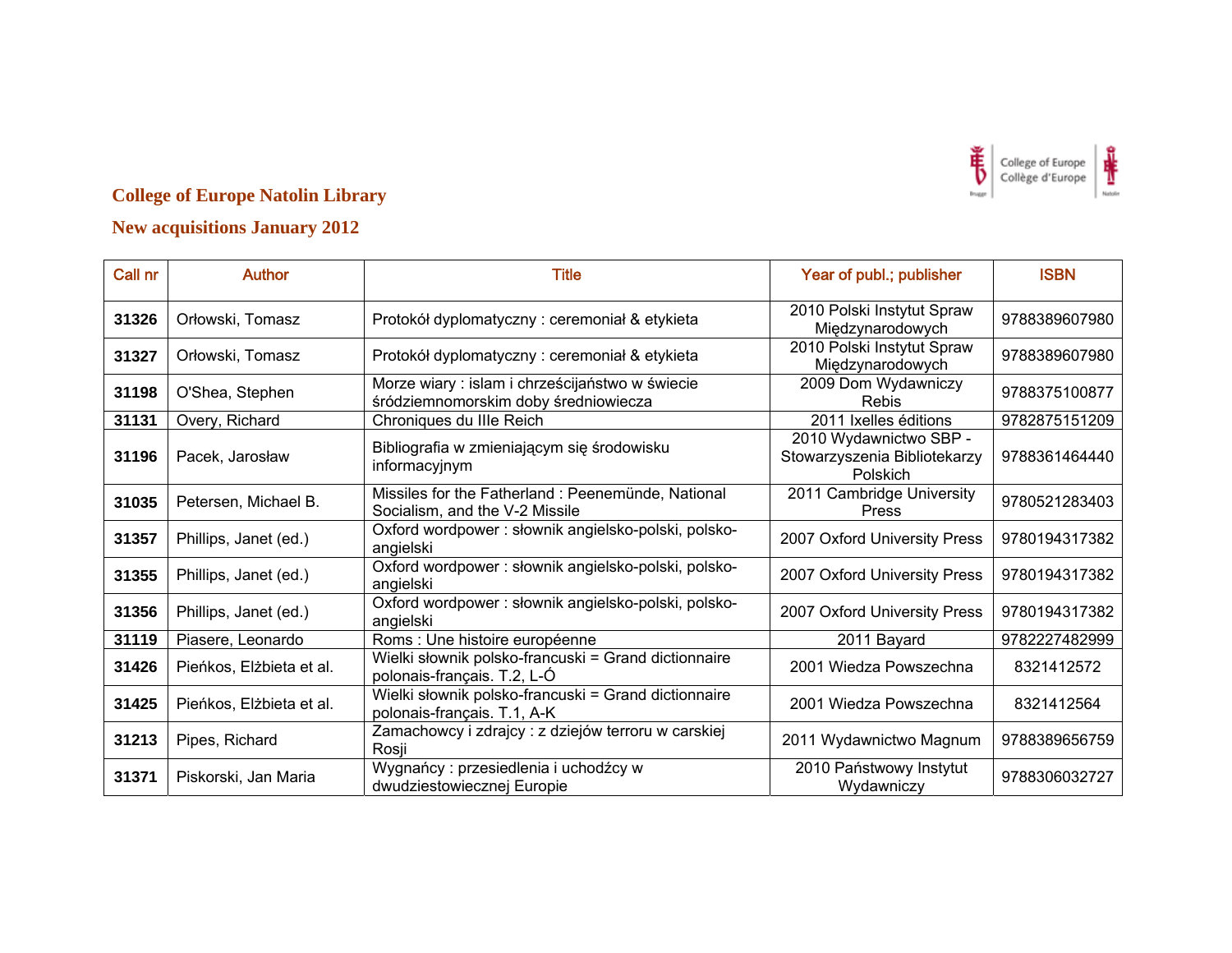

| Call nr | <b>Author</b>            | <b>Title</b>                                                                            | Year of publ.; publisher                                           | <b>ISBN</b>   |
|---------|--------------------------|-----------------------------------------------------------------------------------------|--------------------------------------------------------------------|---------------|
| 31326   | Orłowski, Tomasz         | Protokół dyplomatyczny: ceremoniał & etykieta                                           | 2010 Polski Instytut Spraw<br>Międzynarodowych                     | 9788389607980 |
| 31327   | Orłowski, Tomasz         | Protokół dyplomatyczny: ceremoniał & etykieta                                           | 2010 Polski Instytut Spraw<br>Międzynarodowych                     | 9788389607980 |
| 31198   | O'Shea, Stephen          | Morze wiary : islam i chrześcijaństwo w świecie<br>śródziemnomorskim doby średniowiecza | 2009 Dom Wydawniczy<br>Rebis                                       | 9788375100877 |
| 31131   | Overy, Richard           | Chroniques du IIIe Reich                                                                | 2011 Ixelles éditions                                              | 9782875151209 |
| 31196   | Pacek, Jarosław          | Bibliografia w zmieniającym się środowisku<br>informacyjnym                             | 2010 Wydawnictwo SBP -<br>Stowarzyszenia Bibliotekarzy<br>Polskich | 9788361464440 |
| 31035   | Petersen, Michael B.     | Missiles for the Fatherland: Peenemünde, National<br>Socialism, and the V-2 Missile     | 2011 Cambridge University<br><b>Press</b>                          | 9780521283403 |
| 31357   | Phillips, Janet (ed.)    | Oxford wordpower: słownik angielsko-polski, polsko-<br>angielski                        | 2007 Oxford University Press                                       | 9780194317382 |
| 31355   | Phillips, Janet (ed.)    | Oxford wordpower : słownik angielsko-polski, polsko-<br>angielski                       | 2007 Oxford University Press                                       | 9780194317382 |
| 31356   | Phillips, Janet (ed.)    | Oxford wordpower: słownik angielsko-polski, polsko-<br>angielski                        | 2007 Oxford University Press                                       | 9780194317382 |
| 31119   | Piasere, Leonardo        | Roms : Une histoire européenne                                                          | 2011 Bayard                                                        | 9782227482999 |
| 31426   | Pieńkos, Elżbieta et al. | Wielki słownik polsko-francuski = Grand dictionnaire<br>polonais-français. T.2, L-Ó     | 2001 Wiedza Powszechna                                             | 8321412572    |
| 31425   | Pieńkos, Elżbieta et al. | Wielki słownik polsko-francuski = Grand dictionnaire<br>polonais-français. T.1, A-K     | 2001 Wiedza Powszechna                                             | 8321412564    |
| 31213   | Pipes, Richard           | Zamachowcy i zdrajcy : z dziejów terroru w carskiej<br>Rosji                            | 2011 Wydawnictwo Magnum                                            | 9788389656759 |
| 31371   | Piskorski, Jan Maria     | Wygnańcy: przesiedlenia i uchodźcy w<br>dwudziestowiecznej Europie                      | 2010 Państwowy Instytut<br>Wydawniczy                              | 9788306032727 |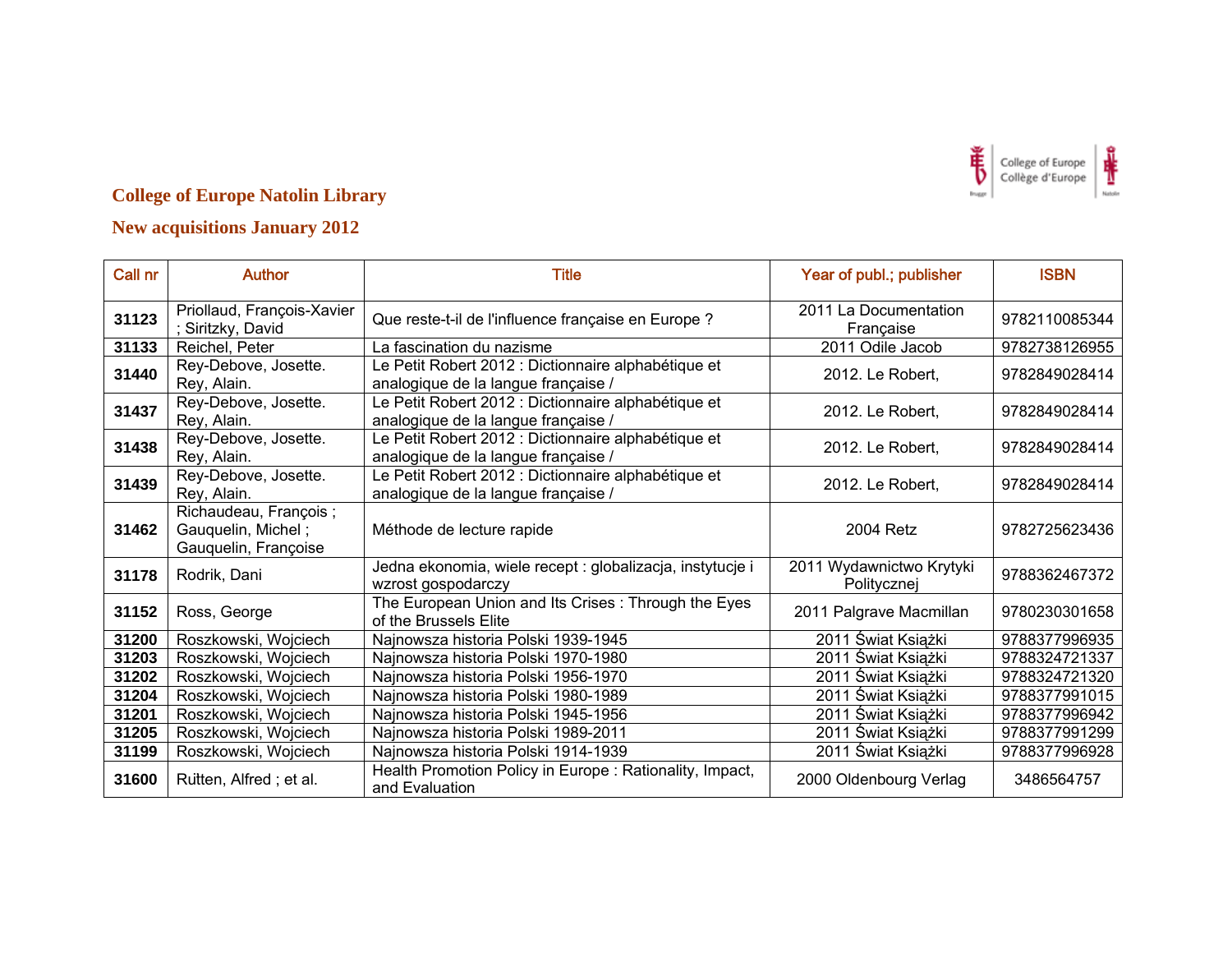

| Call nr | <b>Author</b>                                                       | <b>Title</b>                                                                               | Year of publ.; publisher                | <b>ISBN</b>   |
|---------|---------------------------------------------------------------------|--------------------------------------------------------------------------------------------|-----------------------------------------|---------------|
| 31123   | Priollaud, François-Xavier<br>; Siritzky, David                     | Que reste-t-il de l'influence française en Europe ?                                        | 2011 La Documentation<br>Française      | 9782110085344 |
| 31133   | Reichel, Peter                                                      | La fascination du nazisme                                                                  | 2011 Odile Jacob                        | 9782738126955 |
| 31440   | Rey-Debove, Josette.<br>Rey, Alain.                                 | Le Petit Robert 2012 : Dictionnaire alphabétique et<br>analogique de la langue française / | 2012. Le Robert,                        | 9782849028414 |
| 31437   | Rey-Debove, Josette.<br>Rey, Alain.                                 | Le Petit Robert 2012 : Dictionnaire alphabétique et<br>analogique de la langue française / | 2012. Le Robert,                        | 9782849028414 |
| 31438   | Rey-Debove, Josette.<br>Rey, Alain.                                 | Le Petit Robert 2012 : Dictionnaire alphabétique et<br>analogique de la langue française / | 2012. Le Robert,                        | 9782849028414 |
| 31439   | Rey-Debove, Josette.<br>Rey, Alain.                                 | Le Petit Robert 2012 : Dictionnaire alphabétique et<br>analogique de la langue française / | 2012. Le Robert,                        | 9782849028414 |
| 31462   | Richaudeau, François;<br>Gauquelin, Michel;<br>Gauquelin, Françoise | Méthode de lecture rapide                                                                  | 2004 Retz                               | 9782725623436 |
| 31178   | Rodrik, Dani                                                        | Jedna ekonomia, wiele recept : globalizacja, instytucje i<br>wzrost gospodarczy            | 2011 Wydawnictwo Krytyki<br>Politycznej | 9788362467372 |
| 31152   | Ross, George                                                        | The European Union and Its Crises : Through the Eyes<br>of the Brussels Elite              | 2011 Palgrave Macmillan                 | 9780230301658 |
| 31200   | Roszkowski, Wojciech                                                | Najnowsza historia Polski 1939-1945                                                        | 2011 Świat Książki                      | 9788377996935 |
| 31203   | Roszkowski, Wojciech                                                | Najnowsza historia Polski 1970-1980                                                        | 2011 Świat Książki                      | 9788324721337 |
| 31202   | Roszkowski, Wojciech                                                | Najnowsza historia Polski 1956-1970                                                        | 2011 Świat Książki                      | 9788324721320 |
| 31204   | Roszkowski, Wojciech                                                | Najnowsza historia Polski 1980-1989                                                        | 2011 Świat Książki                      | 9788377991015 |
| 31201   | Roszkowski, Wojciech                                                | Najnowsza historia Polski 1945-1956                                                        | 2011 Świat Książki                      | 9788377996942 |
| 31205   | Roszkowski, Wojciech                                                | Najnowsza historia Polski 1989-2011                                                        | 2011 Świat Książki                      | 9788377991299 |
| 31199   | Roszkowski, Wojciech                                                | Najnowsza historia Polski 1914-1939                                                        | 2011 Świat Książki                      | 9788377996928 |
| 31600   | Rutten, Alfred; et al.                                              | Health Promotion Policy in Europe: Rationality, Impact,<br>and Evaluation                  | 2000 Oldenbourg Verlag                  | 3486564757    |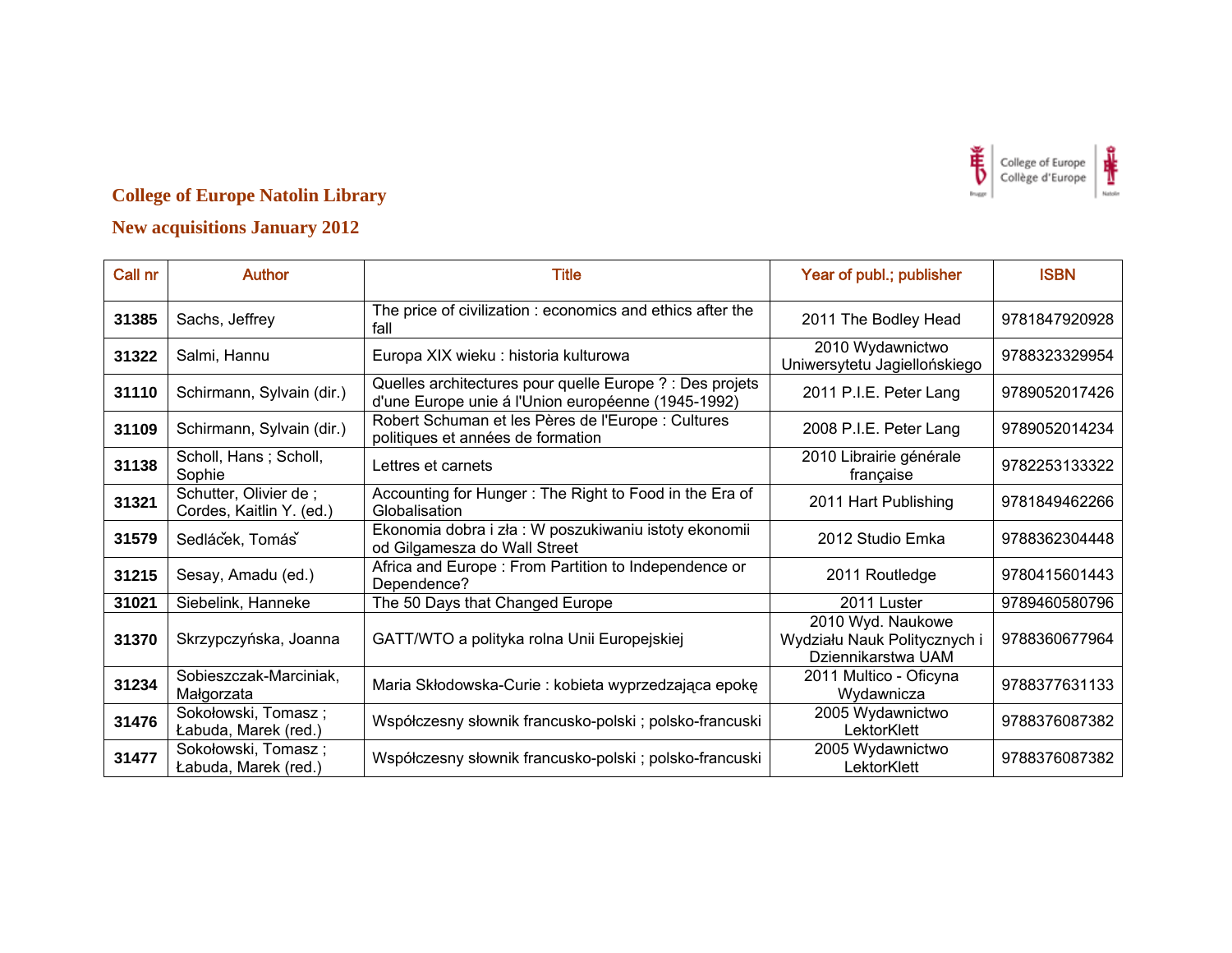

| Call nr | <b>Author</b>                                     | <b>Title</b>                                                                                                   | Year of publ.; publisher                                                | <b>ISBN</b>   |
|---------|---------------------------------------------------|----------------------------------------------------------------------------------------------------------------|-------------------------------------------------------------------------|---------------|
| 31385   | Sachs, Jeffrey                                    | The price of civilization : economics and ethics after the<br>fall                                             | 2011 The Bodley Head                                                    | 9781847920928 |
| 31322   | Salmi, Hannu                                      | Europa XIX wieku : historia kulturowa                                                                          | 2010 Wydawnictwo<br>Uniwersytetu Jagiellońskiego                        | 9788323329954 |
| 31110   | Schirmann, Sylvain (dir.)                         | Quelles architectures pour quelle Europe ? : Des projets<br>d'une Europe unie á l'Union européenne (1945-1992) | 2011 P.I.E. Peter Lang                                                  | 9789052017426 |
| 31109   | Schirmann, Sylvain (dir.)                         | Robert Schuman et les Pères de l'Europe : Cultures<br>politiques et années de formation                        | 2008 P.I.E. Peter Lang                                                  | 9789052014234 |
| 31138   | Scholl, Hans; Scholl,<br>Sophie                   | Lettres et carnets                                                                                             | 2010 Librairie générale<br>française                                    | 9782253133322 |
| 31321   | Schutter, Olivier de;<br>Cordes, Kaitlin Y. (ed.) | Accounting for Hunger: The Right to Food in the Era of<br>Globalisation                                        | 2011 Hart Publishing                                                    | 9781849462266 |
| 31579   | Sedlácek, Tomás                                   | Ekonomia dobra i zła : W poszukiwaniu istoty ekonomii<br>od Gilgamesza do Wall Street                          | 2012 Studio Emka                                                        | 9788362304448 |
| 31215   | Sesay, Amadu (ed.)                                | Africa and Europe: From Partition to Independence or<br>Dependence?                                            | 2011 Routledge                                                          | 9780415601443 |
| 31021   | Siebelink, Hanneke                                | The 50 Days that Changed Europe                                                                                | 2011 Luster                                                             | 9789460580796 |
| 31370   | Skrzypczyńska, Joanna                             | GATT/WTO a polityka rolna Unii Europejskiej                                                                    | 2010 Wyd. Naukowe<br>Wydziału Nauk Politycznych i<br>Dziennikarstwa UAM | 9788360677964 |
| 31234   | Sobieszczak-Marciniak,<br>Małgorzata              | Maria Skłodowska-Curie: kobieta wyprzedzająca epokę                                                            | 2011 Multico - Oficyna<br>Wydawnicza                                    | 9788377631133 |
| 31476   | Sokołowski, Tomasz;<br>Łabuda, Marek (red.)       | Współczesny słownik francusko-polski; polsko-francuski                                                         | 2005 Wydawnictwo<br>LektorKlett                                         | 9788376087382 |
| 31477   | Sokołowski, Tomasz;<br>Łabuda, Marek (red.)       | Współczesny słownik francusko-polski; polsko-francuski                                                         | 2005 Wydawnictwo<br>LektorKlett                                         | 9788376087382 |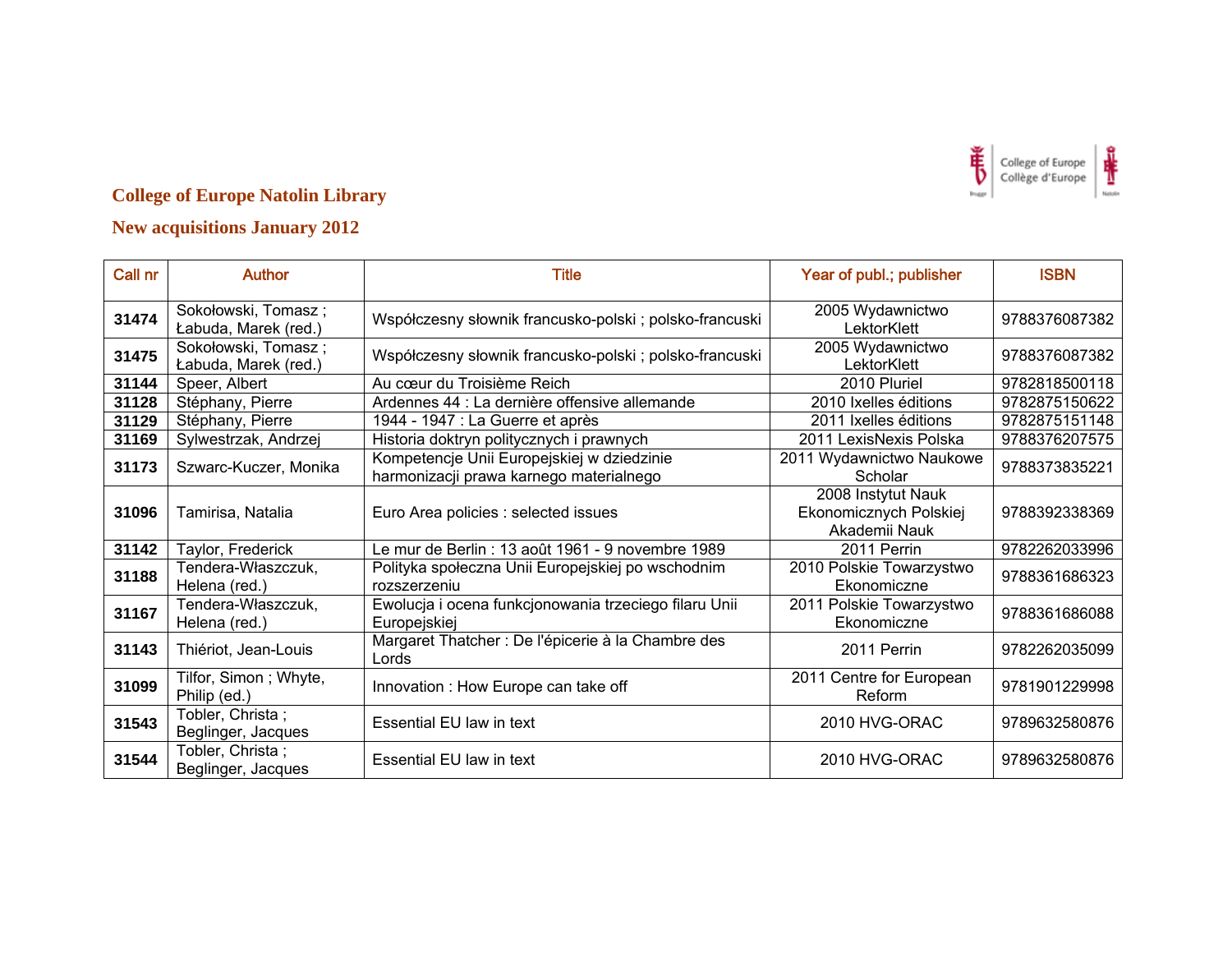

| Call nr | <b>Author</b>                               | Title                                                                                 | Year of publ.; publisher                                      | <b>ISBN</b>   |
|---------|---------------------------------------------|---------------------------------------------------------------------------------------|---------------------------------------------------------------|---------------|
| 31474   | Sokołowski, Tomasz;<br>Łabuda, Marek (red.) | Współczesny słownik francusko-polski ; polsko-francuski                               | 2005 Wydawnictwo<br>LektorKlett                               | 9788376087382 |
| 31475   | Sokołowski, Tomasz;<br>Łabuda, Marek (red.) | Współczesny słownik francusko-polski ; polsko-francuski                               | 2005 Wydawnictwo<br>LektorKlett                               | 9788376087382 |
| 31144   | Speer, Albert                               | Au cœur du Troisième Reich                                                            | 2010 Pluriel                                                  | 9782818500118 |
| 31128   | Stéphany, Pierre                            | Ardennes 44 : La dernière offensive allemande                                         | 2010 Ixelles éditions                                         | 9782875150622 |
| 31129   | Stéphany, Pierre                            | 1944 - 1947 : La Guerre et après                                                      | 2011 Ixelles éditions                                         | 9782875151148 |
| 31169   | Sylwestrzak, Andrzej                        | Historia doktryn politycznych i prawnych                                              | 2011 LexisNexis Polska                                        | 9788376207575 |
| 31173   | Szwarc-Kuczer, Monika                       | Kompetencje Unii Europejskiej w dziedzinie<br>harmonizacji prawa karnego materialnego | 2011 Wydawnictwo Naukowe<br>Scholar                           | 9788373835221 |
| 31096   | Tamirisa, Natalia                           | Euro Area policies : selected issues                                                  | 2008 Instytut Nauk<br>Ekonomicznych Polskiej<br>Akademii Nauk | 9788392338369 |
| 31142   | Taylor, Frederick                           | Le mur de Berlin : 13 août 1961 - 9 novembre 1989                                     | 2011 Perrin                                                   | 9782262033996 |
| 31188   | Tendera-Właszczuk,<br>Helena (red.)         | Polityka społeczna Unii Europejskiej po wschodnim<br>rozszerzeniu                     | 2010 Polskie Towarzystwo<br>Ekonomiczne                       | 9788361686323 |
| 31167   | Tendera-Właszczuk,<br>Helena (red.)         | Ewolucja i ocena funkcjonowania trzeciego filaru Unii<br>Europejskiej                 | 2011 Polskie Towarzystwo<br>Ekonomiczne                       | 9788361686088 |
| 31143   | Thiériot, Jean-Louis                        | Margaret Thatcher : De l'épicerie à la Chambre des<br>Lords                           | 2011 Perrin                                                   | 9782262035099 |
| 31099   | Tilfor, Simon; Whyte,<br>Philip (ed.)       | Innovation : How Europe can take off                                                  | 2011 Centre for European<br>Reform                            | 9781901229998 |
| 31543   | Tobler, Christa;<br>Beglinger, Jacques      | Essential EU law in text                                                              | 2010 HVG-ORAC                                                 | 9789632580876 |
| 31544   | Tobler, Christa;<br>Beglinger, Jacques      | <b>Essential EU law in text</b>                                                       | 2010 HVG-ORAC                                                 | 9789632580876 |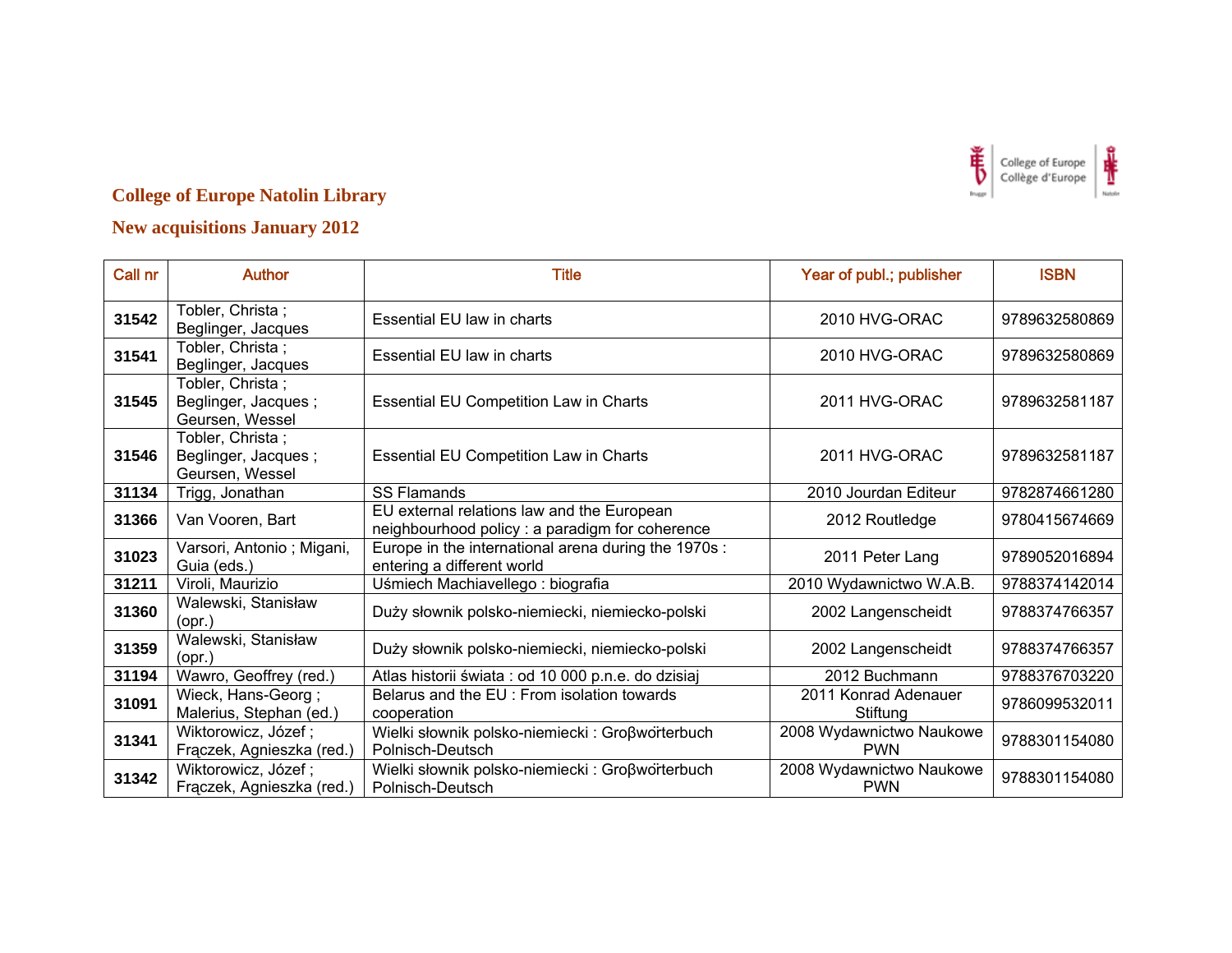

| Call nr | <b>Author</b>                                              | <b>Title</b>                                                                                  | Year of publ.; publisher               | <b>ISBN</b>   |
|---------|------------------------------------------------------------|-----------------------------------------------------------------------------------------------|----------------------------------------|---------------|
| 31542   | Tobler, Christa;<br>Beglinger, Jacques                     | <b>Essential EU law in charts</b>                                                             | 2010 HVG-ORAC                          | 9789632580869 |
| 31541   | Tobler, Christa;<br>Beglinger, Jacques                     | Essential EU law in charts                                                                    | 2010 HVG-ORAC                          | 9789632580869 |
| 31545   | Tobler, Christa;<br>Beglinger, Jacques;<br>Geursen, Wessel | <b>Essential EU Competition Law in Charts</b>                                                 | 2011 HVG-ORAC                          | 9789632581187 |
| 31546   | Tobler, Christa;<br>Beglinger, Jacques;<br>Geursen, Wessel | <b>Essential EU Competition Law in Charts</b>                                                 | 2011 HVG-ORAC                          | 9789632581187 |
| 31134   | Trigg, Jonathan                                            | <b>SS Flamands</b>                                                                            | 2010 Jourdan Editeur                   | 9782874661280 |
| 31366   | Van Vooren, Bart                                           | EU external relations law and the European<br>neighbourhood policy : a paradigm for coherence | 2012 Routledge                         | 9780415674669 |
| 31023   | Varsori, Antonio ; Migani,<br>Guia (eds.)                  | Europe in the international arena during the 1970s :<br>entering a different world            | 2011 Peter Lang                        | 9789052016894 |
| 31211   | Viroli, Maurizio                                           | Uśmiech Machiavellego: biografia                                                              | 2010 Wydawnictwo W.A.B.                | 9788374142014 |
| 31360   | Walewski, Stanisław<br>$($ opr. $)$                        | Duży słownik polsko-niemiecki, niemiecko-polski                                               | 2002 Langenscheidt                     | 9788374766357 |
| 31359   | Walewski, Stanisław<br>$($ opr. $)$                        | Duży słownik polsko-niemiecki, niemiecko-polski                                               | 2002 Langenscheidt                     | 9788374766357 |
| 31194   | Wawro, Geoffrey (red.)                                     | Atlas historii świata : od 10 000 p.n.e. do dzisiaj                                           | 2012 Buchmann                          | 9788376703220 |
| 31091   | Wieck, Hans-Georg;<br>Malerius, Stephan (ed.)              | Belarus and the EU : From isolation towards<br>cooperation                                    | 2011 Konrad Adenauer<br>Stiftung       | 9786099532011 |
| 31341   | Wiktorowicz, Józef;<br>Frączek, Agnieszka (red.)           | Wielki słownik polsko-niemiecki : Großwörterbuch<br>Polnisch-Deutsch                          | 2008 Wydawnictwo Naukowe<br><b>PWN</b> | 9788301154080 |
| 31342   | Wiktorowicz, Józef;<br>Frączek, Agnieszka (red.)           | Wielki słownik polsko-niemiecki : Großworterbuch<br>Polnisch-Deutsch                          | 2008 Wydawnictwo Naukowe<br><b>PWN</b> | 9788301154080 |